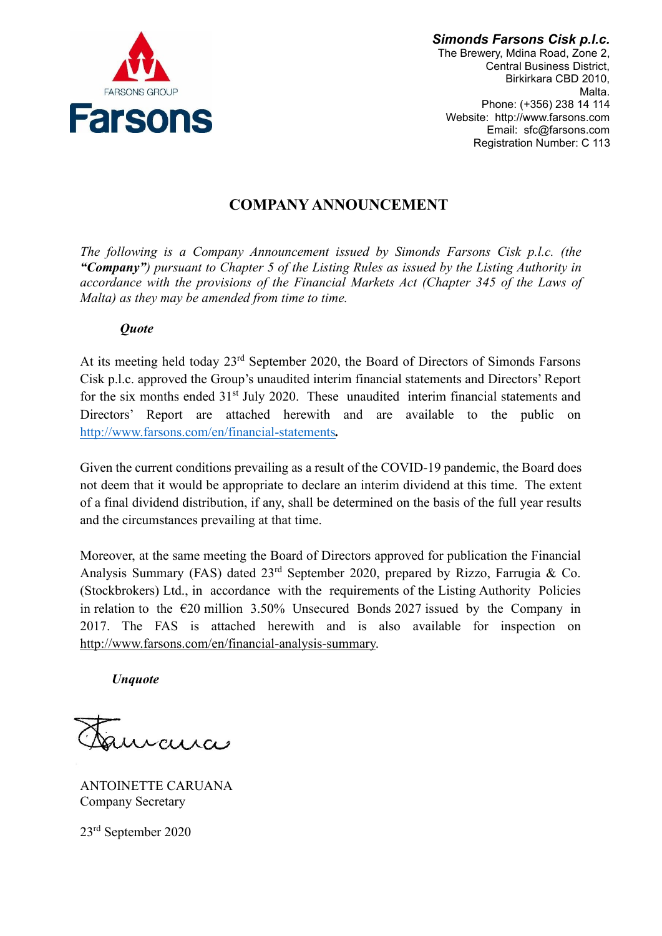

*Simonds Farsons Cisk p.l.c.* The Brewery, Mdina Road, Zone 2, Central Business District, Birkirkara CBD 2010, Malta. Phone: (+356) 238 14 114 Website: http://www.farsons.com Email: sfc@farsons.com Registration Number: C 113

# **COMPANY ANNOUNCEMENT**

*The following is a Company Announcement issued by Simonds Farsons Cisk p.l.c. (the "Company") pursuant to Chapter 5 of the Listing Rules as issued by the Listing Authority in accordance with the provisions of the Financial Markets Act (Chapter 345 of the Laws of Malta) as they may be amended from time to time.*

# *Quote*

At its meeting held today 23rd September 2020, the Board of Directors of Simonds Farsons Cisk p.l.c. approved the Group's unaudited interim financial statements and Directors' Report for the six months ended 31<sup>st</sup> July 2020. These unaudited interim financial statements and Directors' Report are attached herewith and are available to the public on <http://www.farsons.com/en/financial-statements>*.*

Given the current conditions prevailing as a result of the COVID-19 pandemic, the Board does not deem that it would be appropriate to declare an interim dividend at this time. The extent of a final dividend distribution, if any, shall be determined on the basis of the full year results and the circumstances prevailing at that time.

Moreover, at the same meeting the Board of Directors approved for publication the Financial Analysis Summary (FAS) dated  $23<sup>rd</sup>$  September 2020, prepared by Rizzo, Farrugia & Co. (Stockbrokers) Ltd., in accordance with the requirements of the Listing Authority Policies in relation to the  $\epsilon$ 20 million 3.50% Unsecured Bonds 2027 issued by the Company in 2017. The FAS is attached herewith and is also available for inspection on [http://www.farsons.com/en/financial-analysis-summary.](http://www.farsons.com/en/financial-analysis-summary)

*Unquote*

curci

ANTOINETTE CARUANA Company Secretary

23rd September 2020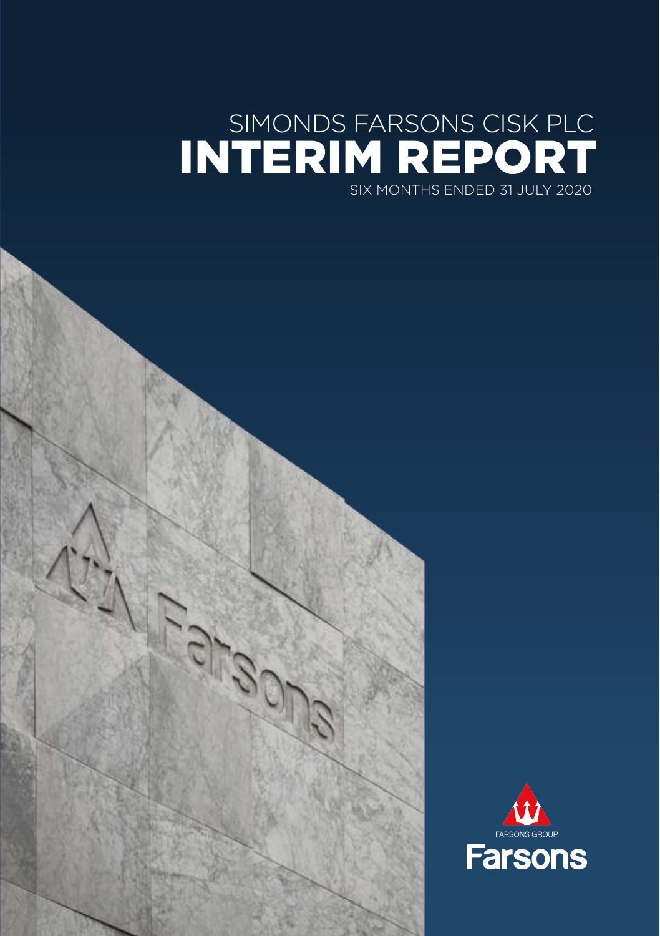# SIMONDS FARSONS CISK PLC INTERIM REPORT SIX MONTHS ENDED 31 JULY 2020

11.00

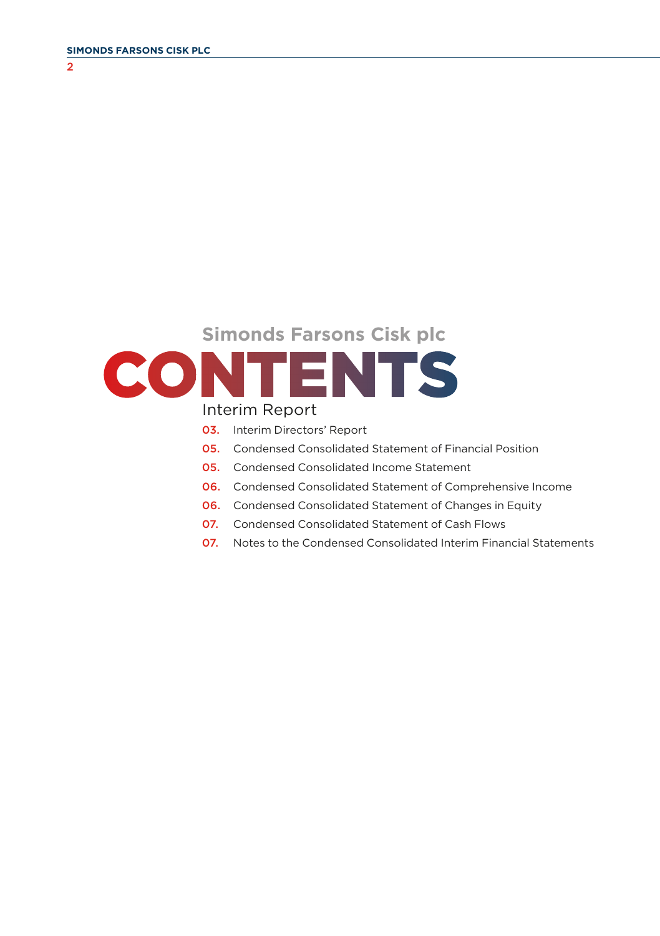$\overline{2}$ 

# **Simonds Farsons Cisk plc CONTENTS**

#### Interim Report

- 03. Interim Directors' Report
- 05. Condensed Consolidated Statement of Financial Position
- 05. Condensed Consolidated Income Statement
- 06. Condensed Consolidated Statement of Comprehensive Income
- 06. Condensed Consolidated Statement of Changes in Equity
- 07. Condensed Consolidated Statement of Cash Flows
- 07. Notes to the Condensed Consolidated Interim Financial Statements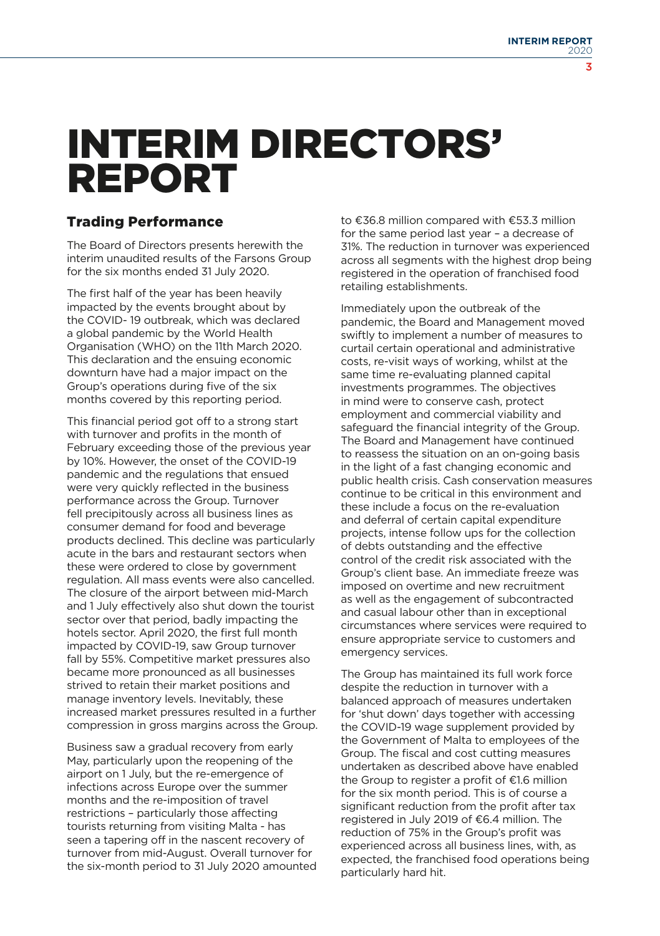# INTERIM DIRECTORS' REPORT

#### Trading Performance

The Board of Directors presents herewith the interim unaudited results of the Farsons Group for the six months ended 31 July 2020.

The first half of the year has been heavily impacted by the events brought about by the COVID- 19 outbreak, which was declared a global pandemic by the World Health Organisation (WHO) on the 11th March 2020. This declaration and the ensuing economic downturn have had a major impact on the Group's operations during five of the six months covered by this reporting period.

This financial period got off to a strong start with turnover and profits in the month of February exceeding those of the previous year by 10%. However, the onset of the COVID-19 pandemic and the regulations that ensued were very quickly reflected in the business performance across the Group. Turnover fell precipitously across all business lines as consumer demand for food and beverage products declined. This decline was particularly acute in the bars and restaurant sectors when these were ordered to close by government regulation. All mass events were also cancelled. The closure of the airport between mid-March and 1 July effectively also shut down the tourist sector over that period, badly impacting the hotels sector. April 2020, the first full month impacted by COVID-19, saw Group turnover fall by 55%. Competitive market pressures also became more pronounced as all businesses strived to retain their market positions and manage inventory levels. Inevitably, these increased market pressures resulted in a further compression in gross margins across the Group.

Business saw a gradual recovery from early May, particularly upon the reopening of the airport on 1 July, but the re-emergence of infections across Europe over the summer months and the re-imposition of travel restrictions – particularly those affecting tourists returning from visiting Malta - has seen a tapering off in the nascent recovery of turnover from mid-August. Overall turnover for the six-month period to 31 July 2020 amounted to €36.8 million compared with €53.3 million for the same period last year – a decrease of 31%. The reduction in turnover was experienced across all segments with the highest drop being registered in the operation of franchised food retailing establishments.

Immediately upon the outbreak of the pandemic, the Board and Management moved swiftly to implement a number of measures to curtail certain operational and administrative costs, re-visit ways of working, whilst at the same time re-evaluating planned capital investments programmes. The objectives in mind were to conserve cash, protect employment and commercial viability and safeguard the financial integrity of the Group. The Board and Management have continued to reassess the situation on an on-going basis in the light of a fast changing economic and public health crisis. Cash conservation measures continue to be critical in this environment and these include a focus on the re-evaluation and deferral of certain capital expenditure projects, intense follow ups for the collection of debts outstanding and the effective control of the credit risk associated with the Group's client base. An immediate freeze was imposed on overtime and new recruitment as well as the engagement of subcontracted and casual labour other than in exceptional circumstances where services were required to ensure appropriate service to customers and emergency services.

The Group has maintained its full work force despite the reduction in turnover with a balanced approach of measures undertaken for 'shut down' days together with accessing the COVID-19 wage supplement provided by the Government of Malta to employees of the Group. The fiscal and cost cutting measures undertaken as described above have enabled the Group to register a profit of  $£1.6$  million for the six month period. This is of course a significant reduction from the profit after tax registered in July 2019 of €6.4 million. The reduction of 75% in the Group's profit was experienced across all business lines, with, as expected, the franchised food operations being particularly hard hit.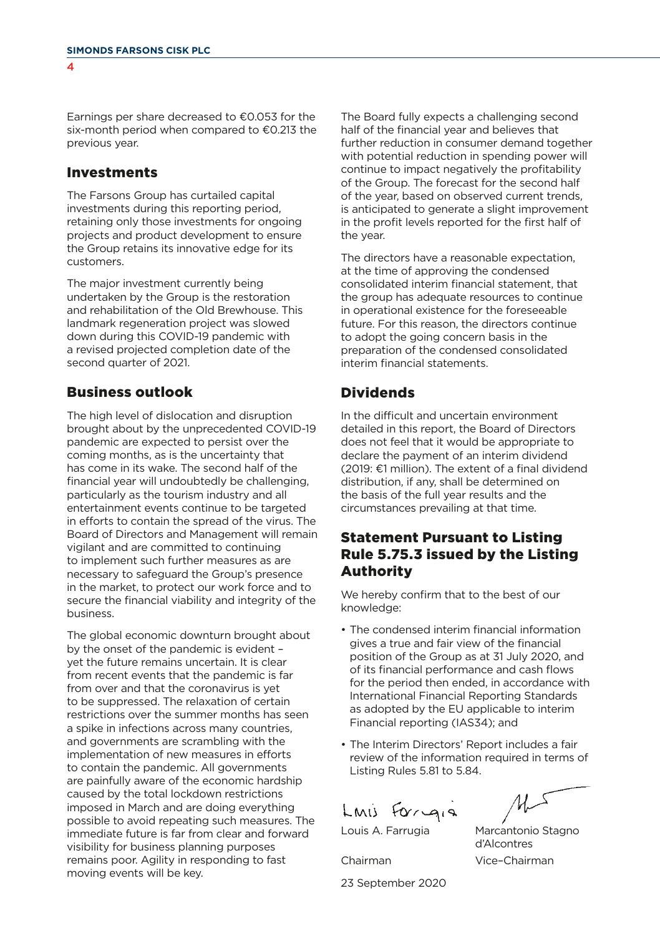Earnings per share decreased to  $€0.053$  for the six-month period when compared to  $€0.213$  the previous year.

#### Investments

The Farsons Group has curtailed capital investments during this reporting period, retaining only those investments for ongoing projects and product development to ensure the Group retains its innovative edge for its customers.

The major investment currently being undertaken by the Group is the restoration and rehabilitation of the Old Brewhouse. This landmark regeneration project was slowed down during this COVID-19 pandemic with a revised projected completion date of the second quarter of 2021.

#### Business outlook

The high level of dislocation and disruption brought about by the unprecedented COVID-19 pandemic are expected to persist over the coming months, as is the uncertainty that has come in its wake. The second half of the financial year will undoubtedly be challenging, particularly as the tourism industry and all entertainment events continue to be targeted in efforts to contain the spread of the virus. The Board of Directors and Management will remain vigilant and are committed to continuing to implement such further measures as are necessary to safeguard the Group's presence in the market, to protect our work force and to secure the financial viability and integrity of the business.

The global economic downturn brought about by the onset of the pandemic is evident – yet the future remains uncertain. It is clear from recent events that the pandemic is far from over and that the coronavirus is yet to be suppressed. The relaxation of certain restrictions over the summer months has seen a spike in infections across many countries, and governments are scrambling with the implementation of new measures in efforts to contain the pandemic. All governments are painfully aware of the economic hardship caused by the total lockdown restrictions imposed in March and are doing everything possible to avoid repeating such measures. The immediate future is far from clear and forward visibility for business planning purposes remains poor. Agility in responding to fast moving events will be key.

The Board fully expects a challenging second half of the financial year and believes that further reduction in consumer demand together with potential reduction in spending power will continue to impact negatively the profitability of the Group. The forecast for the second half of the year, based on observed current trends, is anticipated to generate a slight improvement in the profit levels reported for the first half of the year.

The directors have a reasonable expectation, at the time of approving the condensed consolidated interim financial statement, that the group has adequate resources to continue in operational existence for the foreseeable future. For this reason, the directors continue to adopt the going concern basis in the preparation of the condensed consolidated interim financial statements.

#### Dividends

In the difficult and uncertain environment detailed in this report, the Board of Directors does not feel that it would be appropriate to declare the payment of an interim dividend  $(2019: \text{£1 million})$ . The extent of a final dividend distribution, if any, shall be determined on the basis of the full year results and the circumstances prevailing at that time.

#### Statement Pursuant to Listing Rule 5.75.3 issued by the Listing Authority

We hereby confirm that to the best of our knowledge:

- The condensed interim financial information gives a true and fair view of the financial position of the Group as at 31 July 2020, and of its financial performance and cash flows for the period then ended, in accordance with International Financial Reporting Standards as adopted by the EU applicable to interim Financial reporting (IAS34); and
- The Interim Directors' Report includes a fair review of the information required in terms of Listing Rules 5.81 to 5.84.

Lmis Forgia

Marcantonio Stagno d'Alcontres Vice–Chairman

Louis A. Farrugia

Chairman

23 September 2020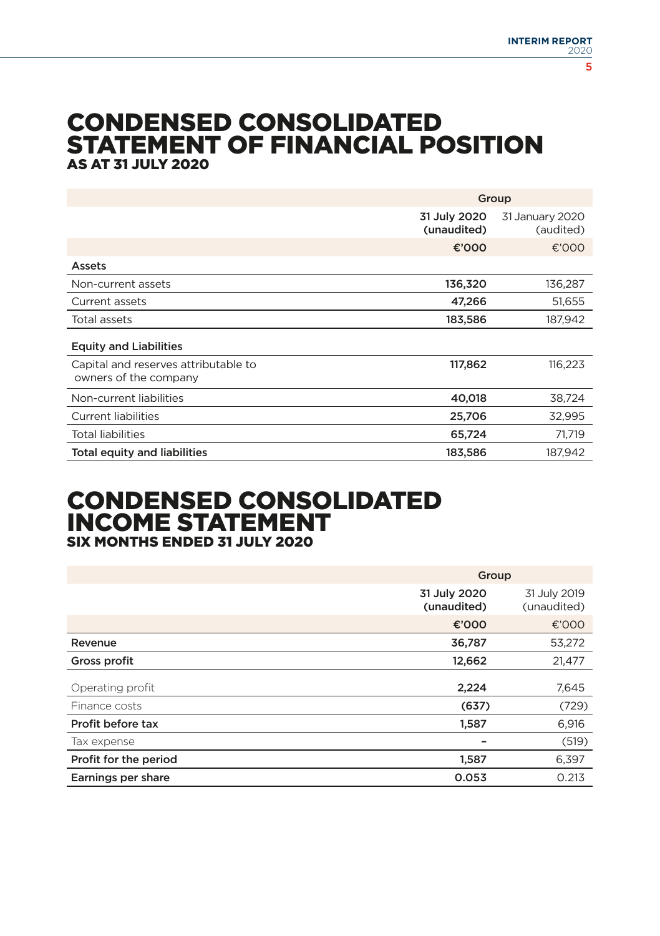### CONDENSED CONSOLIDATED STATEMENT OF FINANCIAL POSITION AS AT 31 JULY 2020

|                                                               |                                                             | Group   |  |  |
|---------------------------------------------------------------|-------------------------------------------------------------|---------|--|--|
|                                                               | 31 July 2020<br>31 January 2020<br>(unaudited)<br>(audited) |         |  |  |
|                                                               | €'000                                                       | €'000   |  |  |
| Assets                                                        |                                                             |         |  |  |
| Non-current assets                                            | 136,320                                                     | 136,287 |  |  |
| Current assets                                                | 47,266                                                      | 51,655  |  |  |
| Total assets                                                  | 183,586                                                     | 187,942 |  |  |
| <b>Equity and Liabilities</b>                                 |                                                             |         |  |  |
| Capital and reserves attributable to<br>owners of the company | 117,862                                                     | 116,223 |  |  |
| Non-current liabilities                                       | 40,018                                                      | 38.724  |  |  |
| <b>Current liabilities</b>                                    | 25,706                                                      | 32,995  |  |  |
| <b>Total liabilities</b>                                      | 65,724                                                      | 71,719  |  |  |
| <b>Total equity and liabilities</b>                           | 183,586                                                     | 187,942 |  |  |

#### CONDENSED CONSOLIDATED INCOME STATEMENT SIX MONTHS ENDED 31 JULY 2020

|                       | Group                       |                             |
|-----------------------|-----------------------------|-----------------------------|
|                       | 31 July 2020<br>(unaudited) | 31 July 2019<br>(unaudited) |
|                       | €'000                       | €'000                       |
| Revenue               | 36,787                      | 53,272                      |
| Gross profit          | 12,662                      | 21,477                      |
| Operating profit      | 2,224                       | 7,645                       |
| Finance costs         | (637)                       | (729)                       |
| Profit before tax     | 1,587                       | 6,916                       |
| Tax expense           |                             | (519)                       |
| Profit for the period | 1,587                       | 6,397                       |
| Earnings per share    | 0.053                       | 0.213                       |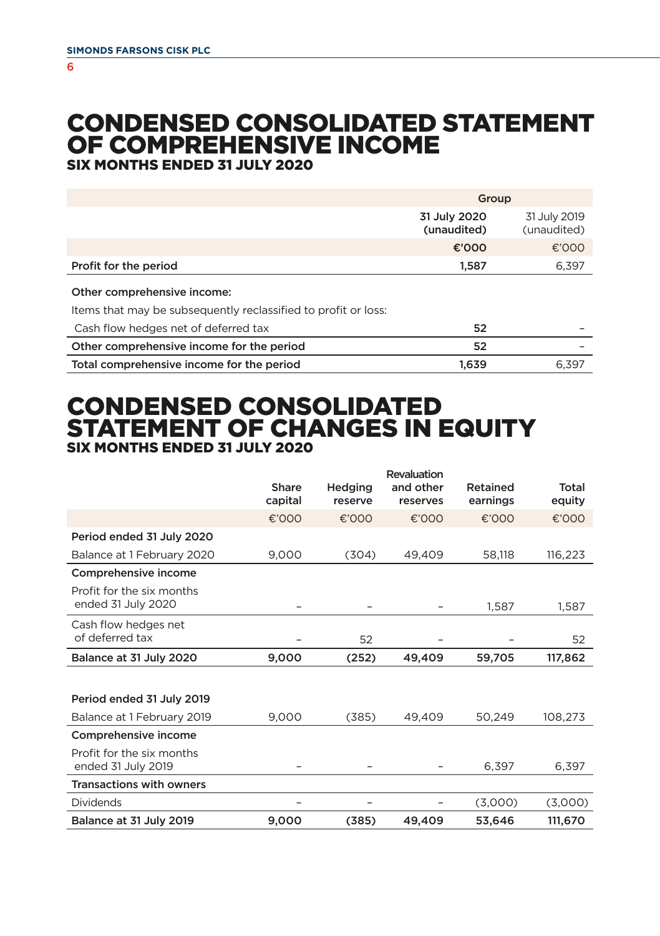#### 6

# CONDENSED CONSOLIDATED STATEMENT OF COMPREHENSIVE INCOME

SIX MONTHS ENDED 31 JULY 2020

|                                                                                               | Group                       |                             |  |
|-----------------------------------------------------------------------------------------------|-----------------------------|-----------------------------|--|
|                                                                                               | 31 July 2020<br>(unaudited) | 31 July 2019<br>(unaudited) |  |
|                                                                                               | €'000                       | €'000                       |  |
| Profit for the period                                                                         | 1.587                       | 6,397                       |  |
| Other comprehensive income:<br>Items that may be subsequently reclassified to profit or loss: |                             |                             |  |
| Cash flow hedges net of deferred tax                                                          | 52                          |                             |  |
| Other comprehensive income for the period                                                     | 52                          |                             |  |
| Total comprehensive income for the period                                                     | 1.639                       | 6.397                       |  |

# CONDENSED CONSOLIDATED STATEMENT OF CHANGES IN EQUITY SIX MONTHS ENDED 31 JULY 2020

|                                                 |                  |                    | Revaluation           |                      |                 |
|-------------------------------------------------|------------------|--------------------|-----------------------|----------------------|-----------------|
|                                                 | Share<br>capital | Hedging<br>reserve | and other<br>reserves | Retained<br>earnings | Total<br>equity |
|                                                 | €'000            | €'000              | €'000                 | €'000                | €'000           |
| Period ended 31 July 2020                       |                  |                    |                       |                      |                 |
| Balance at 1 February 2020                      | 9,000            | (304)              | 49.409                | 58.118               | 116.223         |
| Comprehensive income                            |                  |                    |                       |                      |                 |
| Profit for the six months<br>ended 31 July 2020 |                  |                    |                       | 1,587                | 1,587           |
| Cash flow hedges net<br>of deferred tax         |                  | 52                 |                       |                      | 52              |
|                                                 |                  |                    |                       |                      |                 |
| Balance at 31 July 2020                         | 9,000            | (252)              | 49,409                | 59,705               | 117,862         |
|                                                 |                  |                    |                       |                      |                 |
| Period ended 31 July 2019                       |                  |                    |                       |                      |                 |
| Balance at 1 February 2019                      | 9,000            | (385)              | 49.409                | 50.249               | 108.273         |
| Comprehensive income                            |                  |                    |                       |                      |                 |
| Profit for the six months<br>ended 31 July 2019 |                  |                    |                       | 6.397                | 6.397           |
| <b>Transactions with owners</b>                 |                  |                    |                       |                      |                 |
| <b>Dividends</b>                                |                  |                    |                       | (3,000)              | (3,000)         |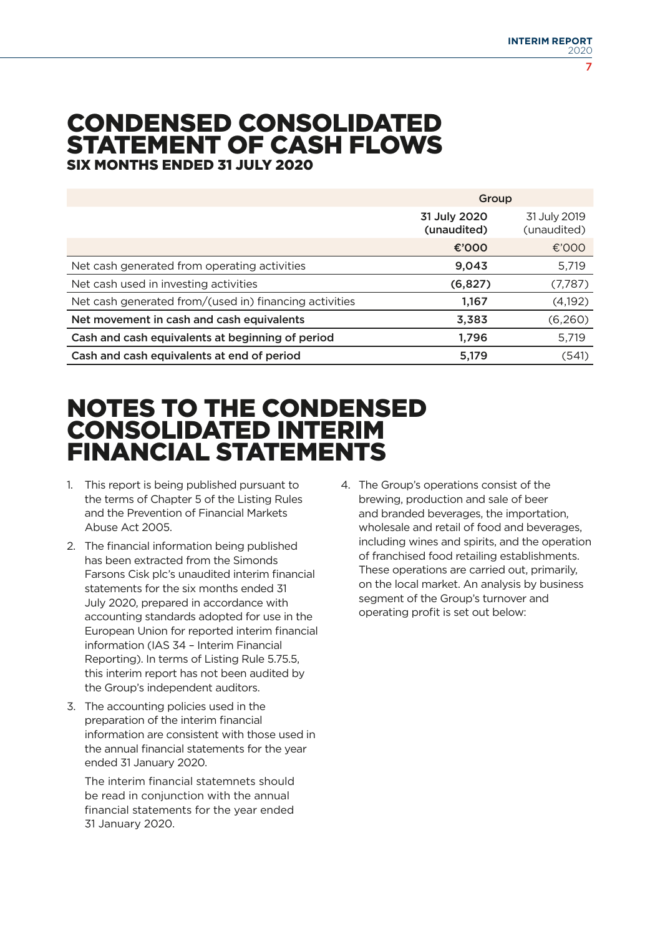# CONDENSED CONSOLIDATED STATEMENT OF CASH FLOWS SIX MONTHS ENDED 31 JULY 2020

|                                                        | Group                       |                             |
|--------------------------------------------------------|-----------------------------|-----------------------------|
|                                                        | 31 July 2020<br>(unaudited) | 31 July 2019<br>(unaudited) |
|                                                        | €'000                       | €'000                       |
| Net cash generated from operating activities           | 9,043                       | 5,719                       |
| Net cash used in investing activities                  | (6, 827)                    | (7,787)                     |
| Net cash generated from/(used in) financing activities | 1,167                       | (4, 192)                    |
| Net movement in cash and cash equivalents              | 3,383                       | (6,260)                     |
| Cash and cash equivalents at beginning of period       | 1.796                       | 5,719                       |
| Cash and cash equivalents at end of period             | 5,179                       | (541)                       |

# NOTES TO THE CONDENSED CONSOLIDATED INTERIM FINANCIAL STATEMENTS

- 1. This report is being published pursuant to the terms of Chapter 5 of the Listing Rules and the Prevention of Financial Markets Abuse Act 2005.
- 2. The financial information being published has been extracted from the Simonds Farsons Cisk plc's unaudited interim financial statements for the six months ended 31 July 2020, prepared in accordance with accounting standards adopted for use in the European Union for reported interim financial information (IAS 34 – Interim Financial Reporting). In terms of Listing Rule 5.75.5, this interim report has not been audited by the Group's independent auditors.
- 3. The accounting policies used in the preparation of the interim financial information are consistent with those used in the annual financial statements for the year ended 31 January 2020.

 The interim financial statemnets should be read in conjunction with the annual financial statements for the year ended 31 January 2020.

4. The Group's operations consist of the brewing, production and sale of beer and branded beverages, the importation, wholesale and retail of food and beverages, including wines and spirits, and the operation of franchised food retailing establishments. These operations are carried out, primarily, on the local market. An analysis by business segment of the Group's turnover and operating profit is set out below: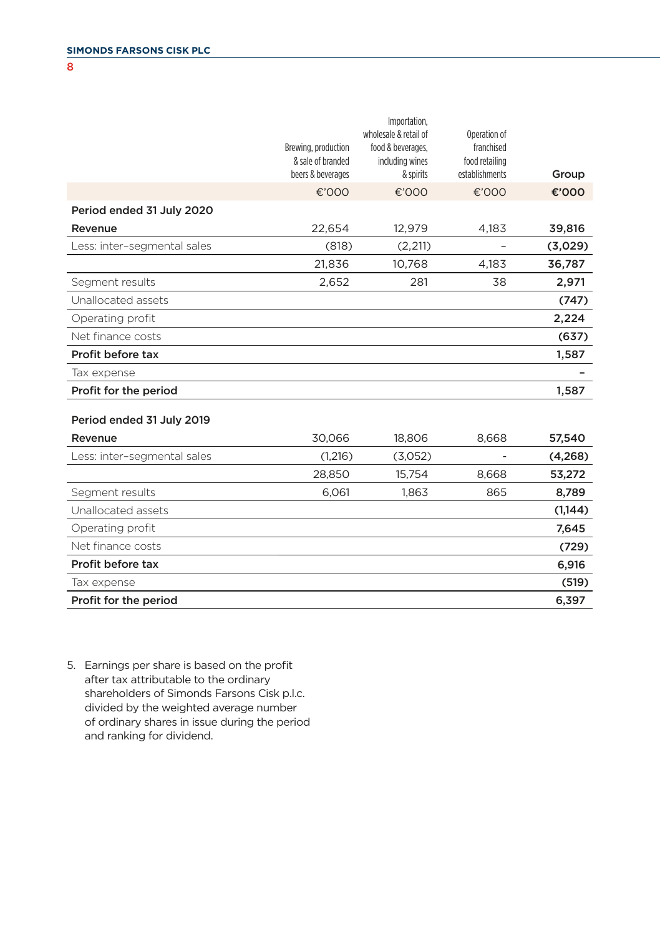8

|                             | Brewing, production<br>& sale of branded<br>beers & beverages | Importation,<br>wholesale & retail of<br>food & beverages,<br>including wines<br>& spirits | Operation of<br>franchised<br>food retailing<br>establishments | Group   |
|-----------------------------|---------------------------------------------------------------|--------------------------------------------------------------------------------------------|----------------------------------------------------------------|---------|
|                             | €'000                                                         | €'000                                                                                      | €'000                                                          | €'000   |
| Period ended 31 July 2020   |                                                               |                                                                                            |                                                                |         |
| Revenue                     | 22,654                                                        | 12,979                                                                                     | 4,183                                                          | 39,816  |
| Less: inter-segmental sales | (818)                                                         | (2, 211)                                                                                   |                                                                | (3,029) |
|                             | 21,836                                                        | 10,768                                                                                     | 4,183                                                          | 36,787  |
| Segment results             | 2,652                                                         | 281                                                                                        | 38                                                             | 2,971   |
| Unallocated assets          |                                                               |                                                                                            |                                                                | (747)   |
| Operating profit            |                                                               |                                                                                            |                                                                | 2,224   |
| Net finance costs           |                                                               |                                                                                            |                                                                | (637)   |
| Profit before tax           |                                                               |                                                                                            |                                                                | 1,587   |
| Tax expense                 |                                                               |                                                                                            |                                                                |         |
| Profit for the period       |                                                               |                                                                                            |                                                                | 1,587   |
| Period ended 31 July 2019   |                                                               |                                                                                            |                                                                |         |
| Revenue                     | 30,066                                                        | 18,806                                                                                     | 8,668                                                          | 57,540  |
| Less: inter-segmental sales | (1,216)                                                       | (3,052)                                                                                    |                                                                | (4,268) |
|                             | 28,850                                                        | 15,754                                                                                     | 8,668                                                          | 53,272  |
| Segment results             | 6,061                                                         | 1.863                                                                                      | 865                                                            | 8,789   |
| Unallocated assets          |                                                               |                                                                                            |                                                                | (1,144) |
| Operating profit            |                                                               |                                                                                            |                                                                | 7,645   |
| Net finance costs           |                                                               |                                                                                            |                                                                | (729)   |
| Profit before tax           |                                                               |                                                                                            |                                                                | 6,916   |
| Tax expense                 |                                                               |                                                                                            |                                                                | (519)   |

Profit for the period 6,397

5. Earnings per share is based on the profit after tax attributable to the ordinary shareholders of Simonds Farsons Cisk p.l.c. divided by the weighted average number of ordinary shares in issue during the period and ranking for dividend.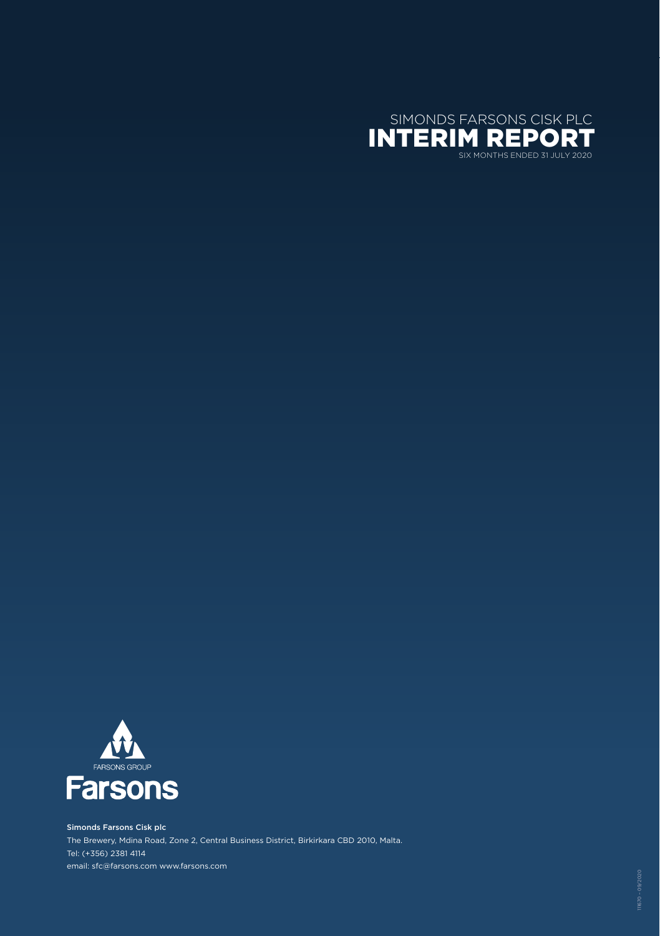



Simonds Farsons Cisk plc The Brewery, Mdina Road, Zone 2, Central Business District, Birkirkara CBD 2010, Malta. Tel: (+356) 2381 4114 email: sfc@farsons.com www.farsons.com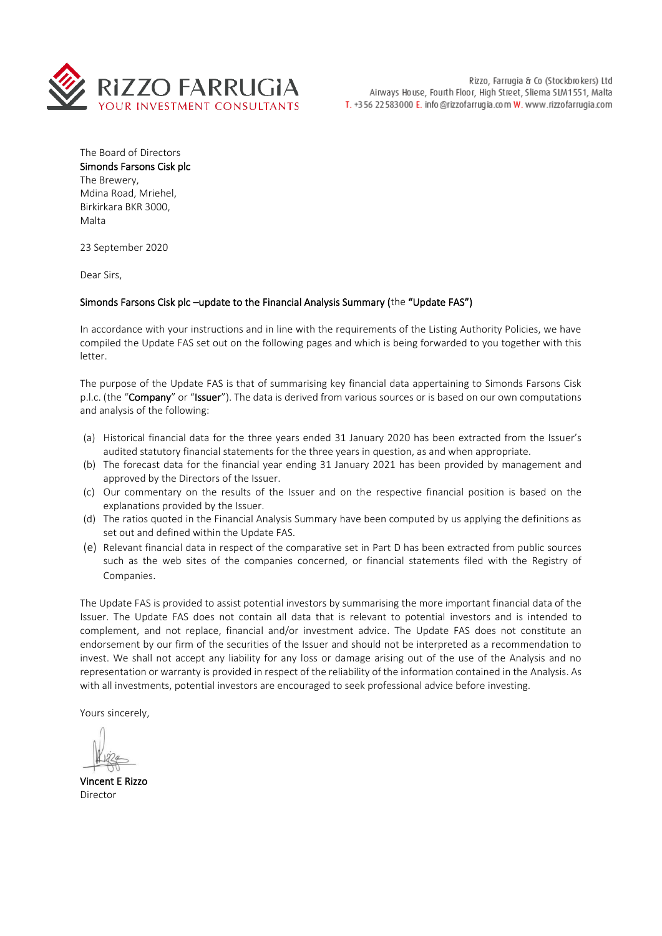

The Board of Directors Simonds Farsons Cisk plc The Brewery, Mdina Road, Mriehel, Birkirkara BKR 3000, Malta

23 September 2020

Dear Sirs,

#### Simonds Farsons Cisk plc –update to the Financial Analysis Summary (the "Update FAS")

In accordance with your instructions and in line with the requirements of the Listing Authority Policies, we have compiled the Update FAS set out on the following pages and which is being forwarded to you together with this letter.

The purpose of the Update FAS is that of summarising key financial data appertaining to Simonds Farsons Cisk p.l.c. (the "Company" or "Issuer"). The data is derived from various sources or is based on our own computations and analysis of the following:

- (a) Historical financial data for the three years ended 31 January 2020 has been extracted from the Issuer's audited statutory financial statements for the three years in question, as and when appropriate.
- (b) The forecast data for the financial year ending 31 January 2021 has been provided by management and approved by the Directors of the Issuer.
- (c) Our commentary on the results of the Issuer and on the respective financial position is based on the explanations provided by the Issuer.
- (d) The ratios quoted in the Financial Analysis Summary have been computed by us applying the definitions as set out and defined within the Update FAS.
- (e) Relevant financial data in respect of the comparative set in Part D has been extracted from public sources such as the web sites of the companies concerned, or financial statements filed with the Registry of Companies.

The Update FAS is provided to assist potential investors by summarising the more important financial data of the Issuer. The Update FAS does not contain all data that is relevant to potential investors and is intended to complement, and not replace, financial and/or investment advice. The Update FAS does not constitute an endorsement by our firm of the securities of the Issuer and should not be interpreted as a recommendation to invest. We shall not accept any liability for any loss or damage arising out of the use of the Analysis and no representation or warranty is provided in respect of the reliability of the information contained in the Analysis. As with all investments, potential investors are encouraged to seek professional advice before investing.

Yours sincerely,

Vincent E Rizzo Director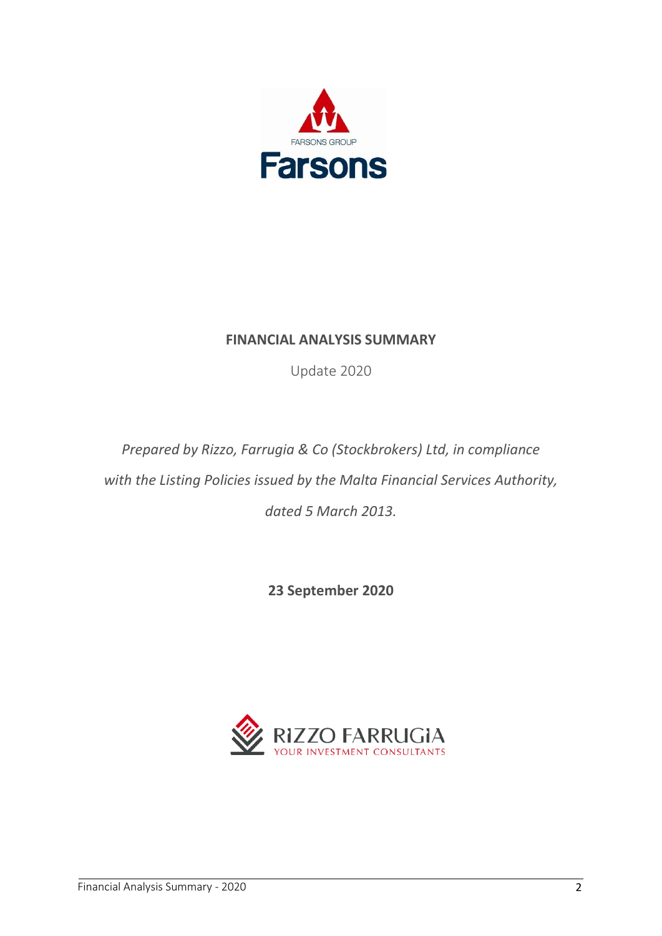

# **FINANCIAL ANALYSIS SUMMARY**

Update 2020

*Prepared by Rizzo, Farrugia & Co (Stockbrokers) Ltd, in compliance with the Listing Policies issued by the Malta Financial Services Authority, dated 5 March 2013.*

**23 September 2020**

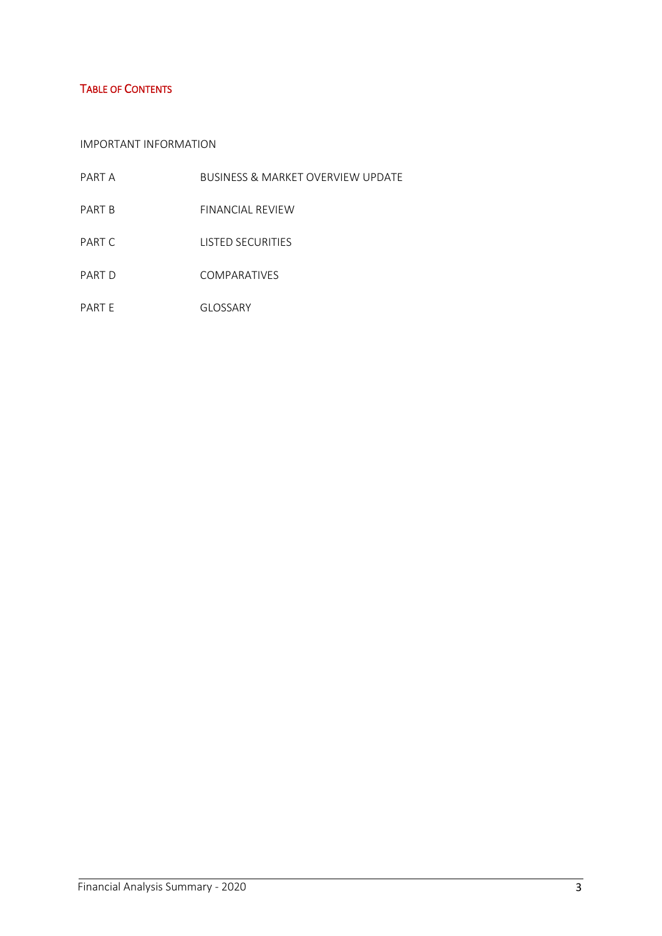# TABLE OF CONTENTS

### IMPORTANT INFORMATION

| PART A | <b>BUSINESS &amp; MARKET OVERVIEW UPDATE</b> |
|--------|----------------------------------------------|
| PART B | FINANCIAL REVIEW                             |
| PART C | <b>LISTED SECURITIES</b>                     |
| PART D | <b>COMPARATIVES</b>                          |
| PART E | GLOSSARY                                     |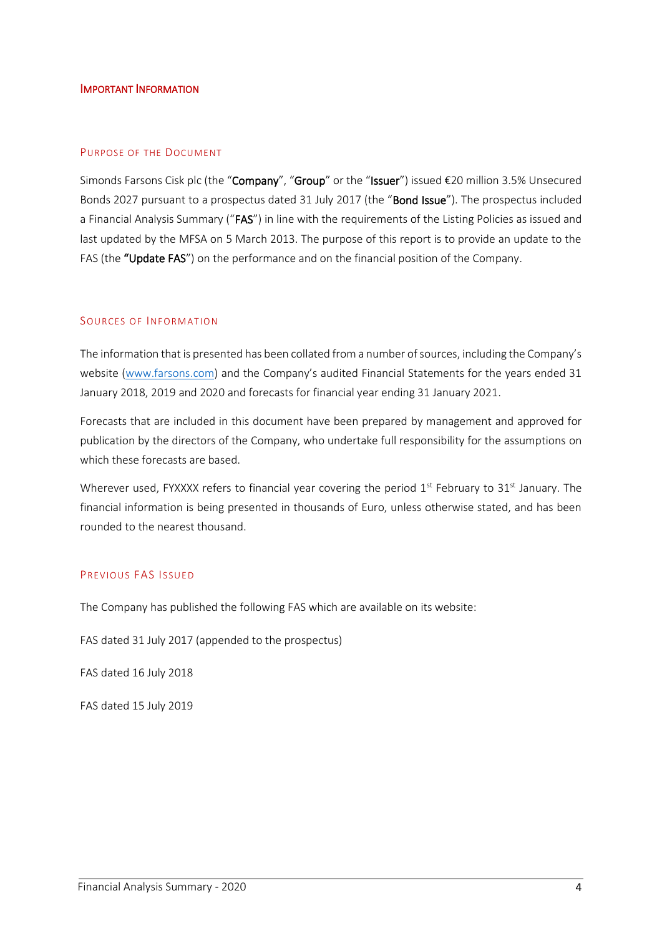#### IMPORTANT INFORMATION

#### PURPOSE OF THE DOCUMENT

Simonds Farsons Cisk plc (the "Company", "Group" or the "Issuer") issued €20 million 3.5% Unsecured Bonds 2027 pursuant to a prospectus dated 31 July 2017 (the "Bond Issue"). The prospectus included a Financial Analysis Summary ("FAS") in line with the requirements of the Listing Policies as issued and last updated by the MFSA on 5 March 2013. The purpose of this report is to provide an update to the FAS (the "Update FAS") on the performance and on the financial position of the Company.

#### SOURCES OF INFORMATION

The information that is presented has been collated from a number of sources, including the Company's website [\(www.farsons.com](http://www.farsons.com/)) and the Company's audited Financial Statements for the years ended 31 January 2018, 2019 and 2020 and forecasts for financial year ending 31 January 2021.

Forecasts that are included in this document have been prepared by management and approved for publication by the directors of the Company, who undertake full responsibility for the assumptions on which these forecasts are based.

Wherever used, FYXXXX refers to financial year covering the period 1<sup>st</sup> February to 31<sup>st</sup> January. The financial information is being presented in thousands of Euro, unless otherwise stated, and has been rounded to the nearest thousand.

#### PREVIOUS FAS ISSUED

The Company has published the following FAS which are available on its website:

FAS dated 31 July 2017 (appended to the prospectus)

FAS dated 16 July 2018

FAS dated 15 July 2019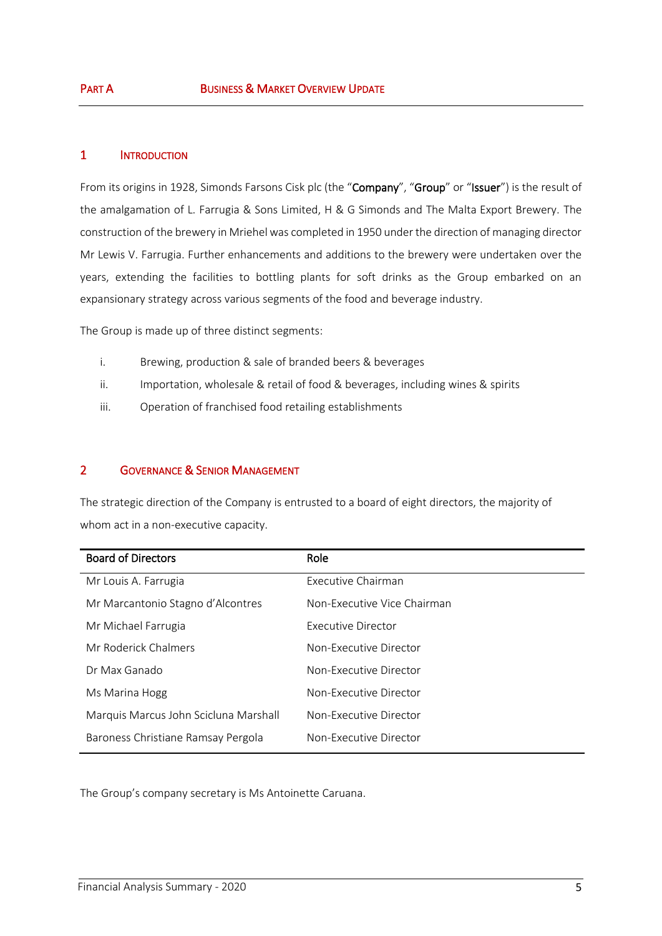## 1 INTRODUCTION

From its origins in 1928, Simonds Farsons Cisk plc (the "Company", "Group" or "Issuer") is the result of the amalgamation of L. Farrugia & Sons Limited, H & G Simonds and The Malta Export Brewery. The construction of the brewery in Mriehel was completed in 1950 under the direction of managing director Mr Lewis V. Farrugia. Further enhancements and additions to the brewery were undertaken over the years, extending the facilities to bottling plants for soft drinks as the Group embarked on an expansionary strategy across various segments of the food and beverage industry.

The Group is made up of three distinct segments:

- i. Brewing, production & sale of branded beers & beverages
- ii. Importation, wholesale & retail of food & beverages, including wines & spirits
- iii. Operation of franchised food retailing establishments

## 2 GOVERNANCE & SENIOR MANAGEMENT

The strategic direction of the Company is entrusted to a board of eight directors, the majority of whom act in a non-executive capacity.

| <b>Board of Directors</b>             | Role                        |
|---------------------------------------|-----------------------------|
| Mr Louis A. Farrugia                  | Executive Chairman          |
| Mr Marcantonio Stagno d'Alcontres     | Non-Executive Vice Chairman |
| Mr Michael Farrugia                   | Executive Director          |
| Mr Roderick Chalmers                  | Non-Executive Director      |
| Dr Max Ganado                         | Non-Executive Director      |
| Ms Marina Hogg                        | Non-Executive Director      |
| Marquis Marcus John Scicluna Marshall | Non-Executive Director      |
| Baroness Christiane Ramsay Pergola    | Non-Executive Director      |

The Group's company secretary is Ms Antoinette Caruana.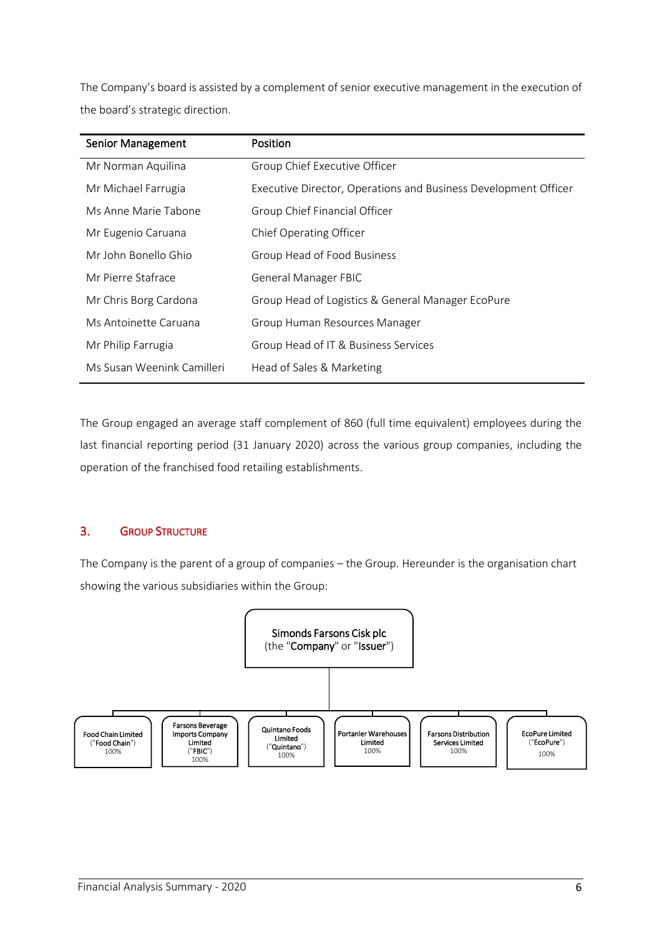The Company's board is assisted by a complement of senior executive management in the execution of the board's strategic direction.

| <b>Senior Management</b>   | <b>Position</b>                                                 |
|----------------------------|-----------------------------------------------------------------|
| Mr Norman Aquilina         | Group Chief Executive Officer                                   |
| Mr Michael Farrugia        | Executive Director, Operations and Business Development Officer |
| Ms Anne Marie Tabone       | Group Chief Financial Officer                                   |
| Mr Eugenio Caruana         | Chief Operating Officer                                         |
| Mr John Bonello Ghio       | Group Head of Food Business                                     |
| Mr Pierre Stafrace         | <b>General Manager FBIC</b>                                     |
| Mr Chris Borg Cardona      | Group Head of Logistics & General Manager EcoPure               |
| Ms Antoinette Caruana      | Group Human Resources Manager                                   |
| Mr Philip Farrugia         | Group Head of IT & Business Services                            |
| Ms Susan Weenink Camilleri | Head of Sales & Marketing                                       |

The Group engaged an average staff complement of 860 (full time equivalent) employees during the last financial reporting period (31 January 2020) across the various group companies, including the operation of the franchised food retailing establishments.

## 3. GROUP STRUCTURE

The Company is the parent of a group of companies – the Group. Hereunder is the organisation chart showing the various subsidiaries within the Group:

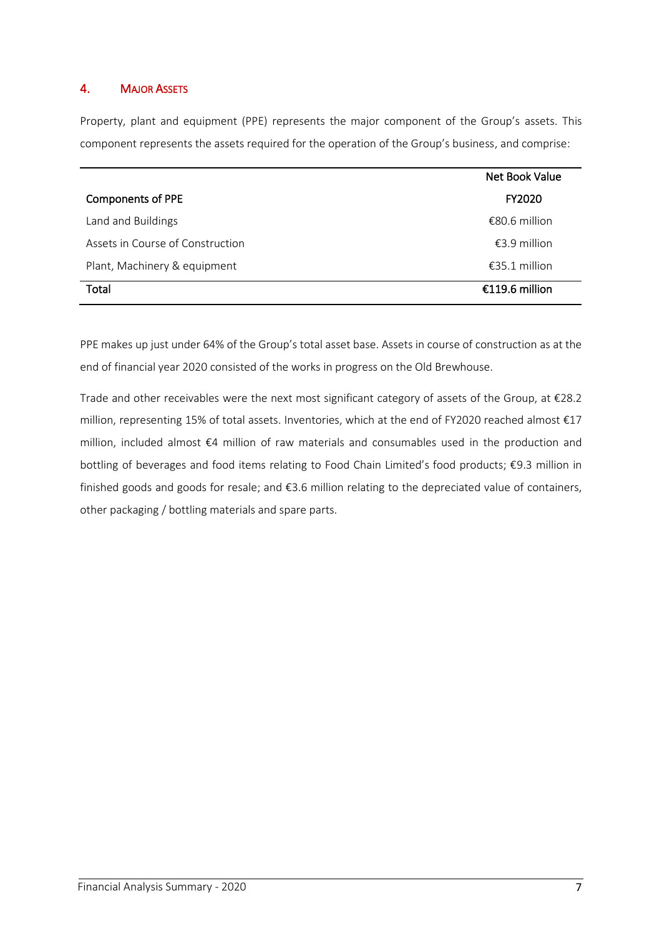# 4. MAJOR ASSETS

Property, plant and equipment (PPE) represents the major component of the Group's assets. This component represents the assets required for the operation of the Group's business, and comprise:

|                                  | Net Book Value  |
|----------------------------------|-----------------|
| <b>Components of PPE</b>         | FY2020          |
| Land and Buildings               | €80.6 million   |
| Assets in Course of Construction | €3.9 million    |
| Plant, Machinery & equipment     | $£35.1$ million |
| Total                            | €119.6 million  |

PPE makes up just under 64% of the Group's total asset base. Assets in course of construction as at the end of financial year 2020 consisted of the works in progress on the Old Brewhouse.

Trade and other receivables were the next most significant category of assets of the Group, at €28.2 million, representing 15% of total assets. Inventories, which at the end of FY2020 reached almost €17 million, included almost €4 million of raw materials and consumables used in the production and bottling of beverages and food items relating to Food Chain Limited's food products; €9.3 million in finished goods and goods for resale; and €3.6 million relating to the depreciated value of containers, other packaging / bottling materials and spare parts.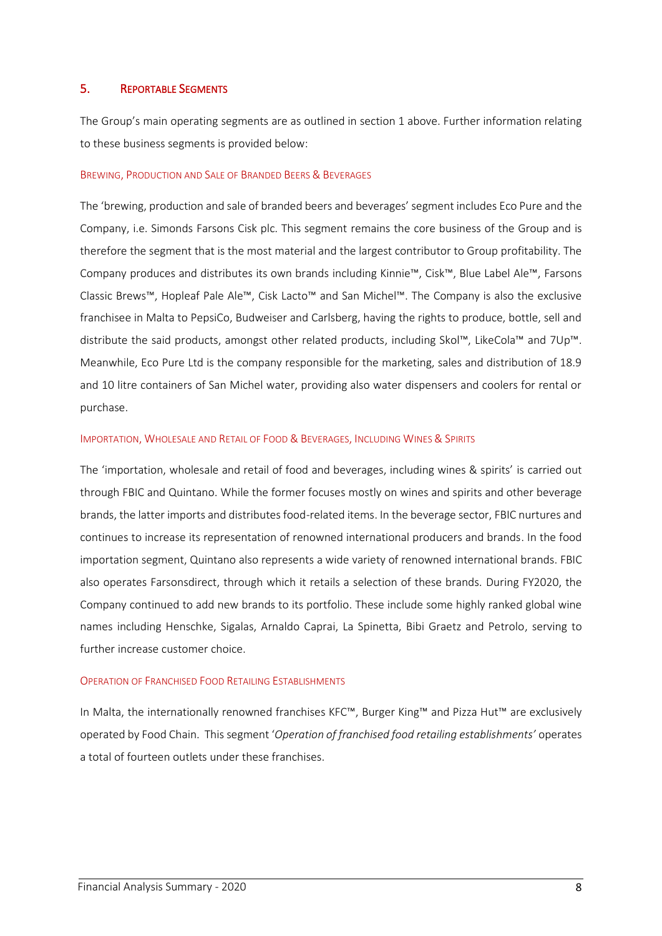#### 5. REPORTABLE SEGMENTS

The Group's main operating segments are as outlined in section 1 above. Further information relating to these business segments is provided below:

#### BREWING, PRODUCTION AND SALE OF BRANDED BEERS & BEVERAGES

The 'brewing, production and sale of branded beers and beverages' segment includes Eco Pure and the Company, i.e. Simonds Farsons Cisk plc. This segment remains the core business of the Group and is therefore the segment that is the most material and the largest contributor to Group profitability. The Company produces and distributes its own brands including Kinnie™, Cisk™, Blue Label Ale™, Farsons Classic Brews™, Hopleaf Pale Ale™, Cisk Lacto™ and San Michel™. The Company is also the exclusive franchisee in Malta to PepsiCo, Budweiser and Carlsberg, having the rights to produce, bottle, sell and distribute the said products, amongst other related products, including Skol™, LikeCola™ and 7Up™. Meanwhile, Eco Pure Ltd is the company responsible for the marketing, sales and distribution of 18.9 and 10 litre containers of San Michel water, providing also water dispensers and coolers for rental or purchase.

#### IMPORTATION, WHOLESALE AND RETAIL OF FOOD & BEVERAGES, INCLUDING WINES & SPIRITS

The 'importation, wholesale and retail of food and beverages, including wines & spirits' is carried out through FBIC and Quintano. While the former focuses mostly on wines and spirits and other beverage brands, the latter imports and distributes food-related items. In the beverage sector, FBIC nurtures and continues to increase its representation of renowned international producers and brands. In the food importation segment, Quintano also represents a wide variety of renowned international brands. FBIC also operates Farsonsdirect, through which it retails a selection of these brands. During FY2020, the Company continued to add new brands to its portfolio. These include some highly ranked global wine names including Henschke, Sigalas, Arnaldo Caprai, La Spinetta, Bibi Graetz and Petrolo, serving to further increase customer choice.

#### OPERATION OF FRANCHISED FOOD RETAILING ESTABLISHMENTS

In Malta, the internationally renowned franchises KFC™, Burger King™ and Pizza Hut™ are exclusively operated by Food Chain. This segment '*Operation of franchised food retailing establishments'* operates a total of fourteen outlets under these franchises.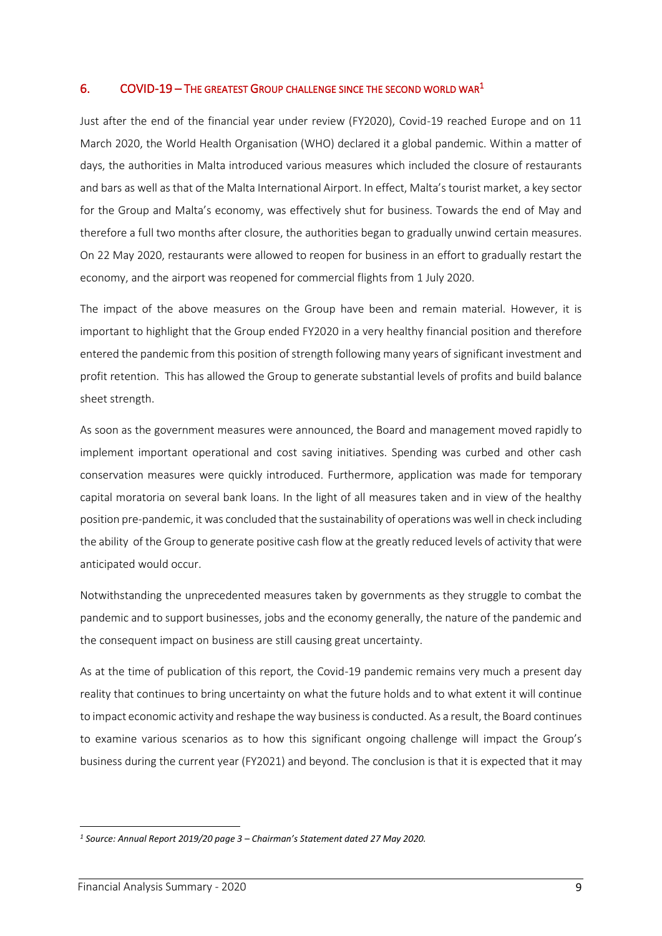## 6. COVID-19 – THE GREATEST GROUP CHALLENGE SINCE THE SECOND WORLD WAR<sup>1</sup>

Just after the end of the financial year under review (FY2020), Covid-19 reached Europe and on 11 March 2020, the World Health Organisation (WHO) declared it a global pandemic. Within a matter of days, the authorities in Malta introduced various measures which included the closure of restaurants and bars as well as that of the Malta International Airport. In effect, Malta's tourist market, a key sector for the Group and Malta's economy, was effectively shut for business. Towards the end of May and therefore a full two months after closure, the authorities began to gradually unwind certain measures. On 22 May 2020, restaurants were allowed to reopen for business in an effort to gradually restart the economy, and the airport was reopened for commercial flights from 1 July 2020.

The impact of the above measures on the Group have been and remain material. However, it is important to highlight that the Group ended FY2020 in a very healthy financial position and therefore entered the pandemic from this position of strength following many years of significant investment and profit retention. This has allowed the Group to generate substantial levels of profits and build balance sheet strength.

As soon as the government measures were announced, the Board and management moved rapidly to implement important operational and cost saving initiatives. Spending was curbed and other cash conservation measures were quickly introduced. Furthermore, application was made for temporary capital moratoria on several bank loans. In the light of all measures taken and in view of the healthy position pre-pandemic, it was concluded that the sustainability of operations was well in check including the ability of the Group to generate positive cash flow at the greatly reduced levels of activity that were anticipated would occur.

Notwithstanding the unprecedented measures taken by governments as they struggle to combat the pandemic and to support businesses, jobs and the economy generally, the nature of the pandemic and the consequent impact on business are still causing great uncertainty.

As at the time of publication of this report, the Covid-19 pandemic remains very much a present day reality that continues to bring uncertainty on what the future holds and to what extent it will continue to impact economic activity and reshape the way business is conducted. As a result, the Board continues to examine various scenarios as to how this significant ongoing challenge will impact the Group's business during the current year (FY2021) and beyond. The conclusion is that it is expected that it may

*<sup>1</sup> Source: Annual Report 2019/20 page 3 – Chairman's Statement dated 27 May 2020.*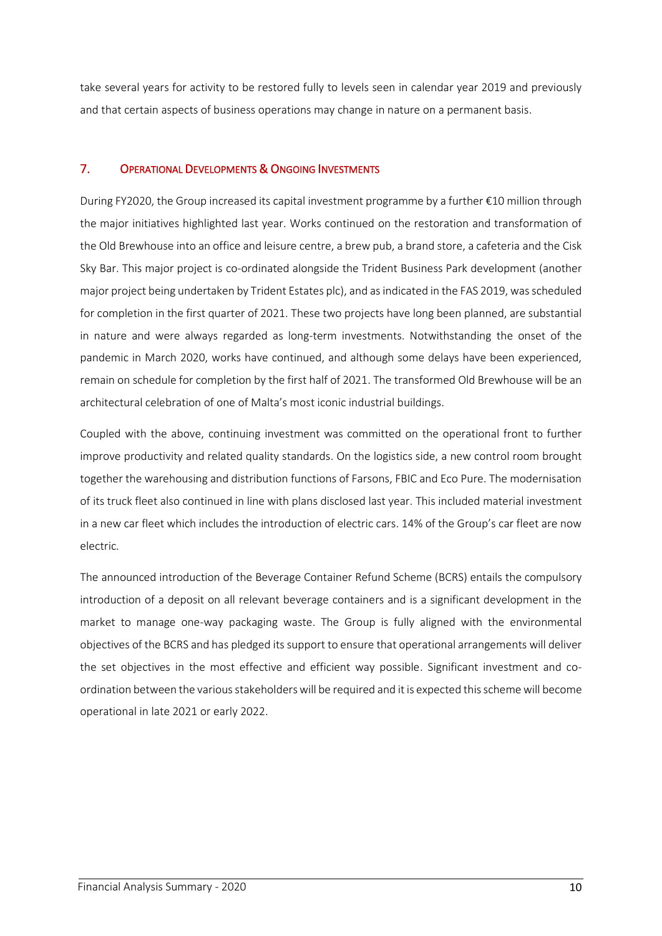take several years for activity to be restored fully to levels seen in calendar year 2019 and previously and that certain aspects of business operations may change in nature on a permanent basis.

# 7. OPERATIONAL DEVELOPMENTS & ONGOING INVESTMENTS

During FY2020, the Group increased its capital investment programme by a further €10 million through the major initiatives highlighted last year. Works continued on the restoration and transformation of the Old Brewhouse into an office and leisure centre, a brew pub, a brand store, a cafeteria and the Cisk Sky Bar. This major project is co-ordinated alongside the Trident Business Park development (another major project being undertaken by Trident Estates plc), and as indicated in the FAS 2019, was scheduled for completion in the first quarter of 2021. These two projects have long been planned, are substantial in nature and were always regarded as long-term investments. Notwithstanding the onset of the pandemic in March 2020, works have continued, and although some delays have been experienced, remain on schedule for completion by the first half of 2021. The transformed Old Brewhouse will be an architectural celebration of one of Malta's most iconic industrial buildings.

Coupled with the above, continuing investment was committed on the operational front to further improve productivity and related quality standards. On the logistics side, a new control room brought together the warehousing and distribution functions of Farsons, FBIC and Eco Pure. The modernisation of its truck fleet also continued in line with plans disclosed last year. This included material investment in a new car fleet which includes the introduction of electric cars. 14% of the Group's car fleet are now electric.

The announced introduction of the Beverage Container Refund Scheme (BCRS) entails the compulsory introduction of a deposit on all relevant beverage containers and is a significant development in the market to manage one-way packaging waste. The Group is fully aligned with the environmental objectives of the BCRS and has pledged its support to ensure that operational arrangements will deliver the set objectives in the most effective and efficient way possible. Significant investment and coordination between the various stakeholders will be required and it is expected this scheme will become operational in late 2021 or early 2022.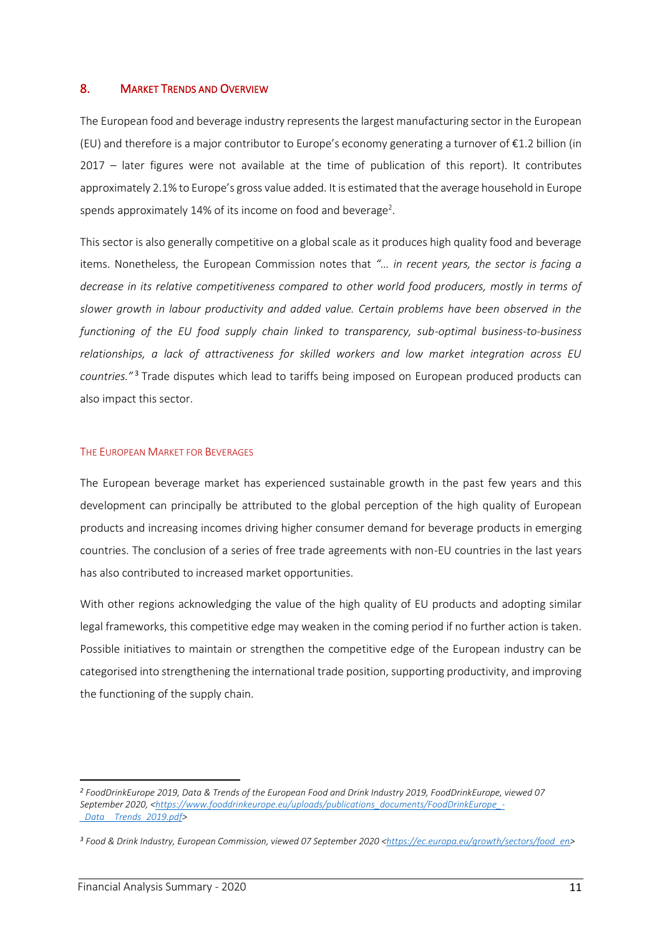#### 8. MARKET TRENDS AND OVERVIEW

The European food and beverage industry represents the largest manufacturing sector in the European (EU) and therefore is a major contributor to Europe's economy generating a turnover of  $\epsilon$ 1.2 billion (in 2017 – later figures were not available at the time of publication of this report). It contributes approximately 2.1% to Europe's gross value added. It is estimated that the average household in Europe spends approximately 14% of its income on food and beverage<sup>2</sup>.

This sector is also generally competitive on a global scale as it produces high quality food and beverage items. Nonetheless, the European Commission notes that *"… in recent years, the sector is facing a decrease in its relative competitiveness compared to other world food producers, mostly in terms of slower growth in labour productivity and added value. Certain problems have been observed in the functioning of the EU food supply chain linked to transparency, sub-optimal business-to-business relationships, a lack of attractiveness for skilled workers and low market integration across EU countries."*<sup>3</sup> Trade disputes which lead to tariffs being imposed on European produced products can also impact this sector.

#### THE EUROPEAN MARKET FOR BEVERAGES

The European beverage market has experienced sustainable growth in the past few years and this development can principally be attributed to the global perception of the high quality of European products and increasing incomes driving higher consumer demand for beverage products in emerging countries. The conclusion of a series of free trade agreements with non-EU countries in the last years has also contributed to increased market opportunities.

With other regions acknowledging the value of the high quality of EU products and adopting similar legal frameworks, this competitive edge may weaken in the coming period if no further action is taken. Possible initiatives to maintain or strengthen the competitive edge of the European industry can be categorised into strengthening the international trade position, supporting productivity, and improving the functioning of the supply chain.

*<sup>2</sup> FoodDrinkEurope 2019, Data & Trends of the European Food and Drink Industry 2019, FoodDrinkEurope, viewed 07 September 2020, [<https://www.fooddrinkeurope.eu/uploads/publications\\_documents/FoodDrinkEurope\\_-](https://www.fooddrinkeurope.eu/uploads/publications_documents/FoodDrinkEurope_-_Data__Trends_2019.pdf) [\\_Data\\_\\_Trends\\_2019.pdf>](https://www.fooddrinkeurope.eu/uploads/publications_documents/FoodDrinkEurope_-_Data__Trends_2019.pdf)* 

<sup>&</sup>lt;sup>3</sup> Food & Drink Industry, European Commission, viewed 07 September 2020 [<https://ec.europa.eu/growth/sectors/food\\_en>](https://ec.europa.eu/growth/sectors/food_en)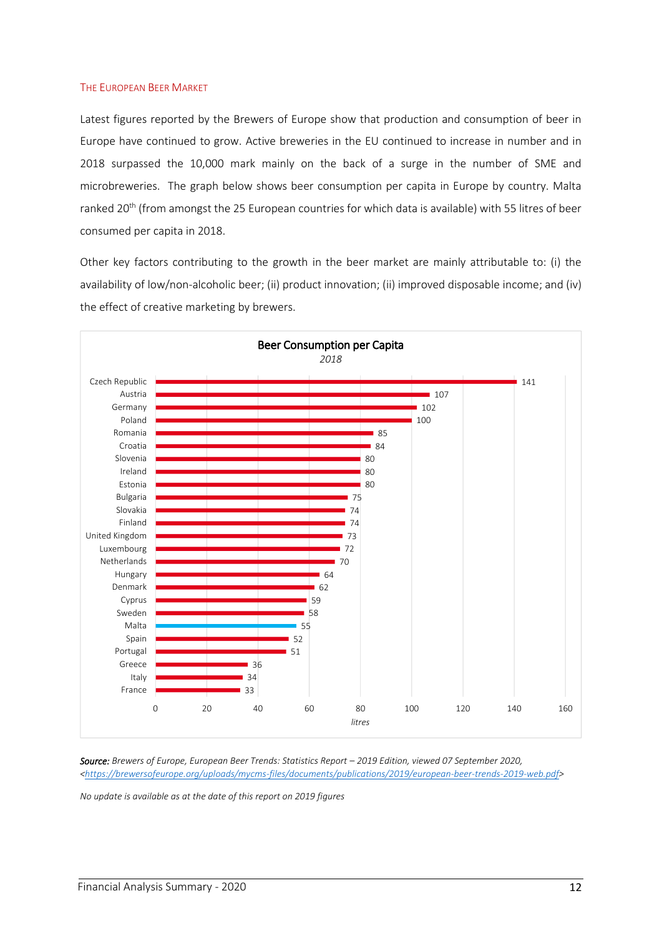#### THE EUROPEAN BEER MARKET

Latest figures reported by the Brewers of Europe show that production and consumption of beer in Europe have continued to grow. Active breweries in the EU continued to increase in number and in 2018 surpassed the 10,000 mark mainly on the back of a surge in the number of SME and microbreweries. The graph below shows beer consumption per capita in Europe by country. Malta ranked 20<sup>th</sup> (from amongst the 25 European countries for which data is available) with 55 litres of beer consumed per capita in 2018.

Other key factors contributing to the growth in the beer market are mainly attributable to: (i) the availability of low/non-alcoholic beer; (ii) product innovation; (ii) improved disposable income; and (iv) the effect of creative marketing by brewers.



*Source: Brewers of Europe, European Beer Trends: Statistics Report – 2019 Edition, viewed 07 September 2020, [<https://brewersofeurope.org/uploads/mycms-files/documents/publications/2019/european-beer-trends-2019-web.pdf>](https://brewersofeurope.org/uploads/mycms-files/documents/publications/2019/european-beer-trends-2019-web.pdf)* 

*No update is available as at the date of this report on 2019 figures*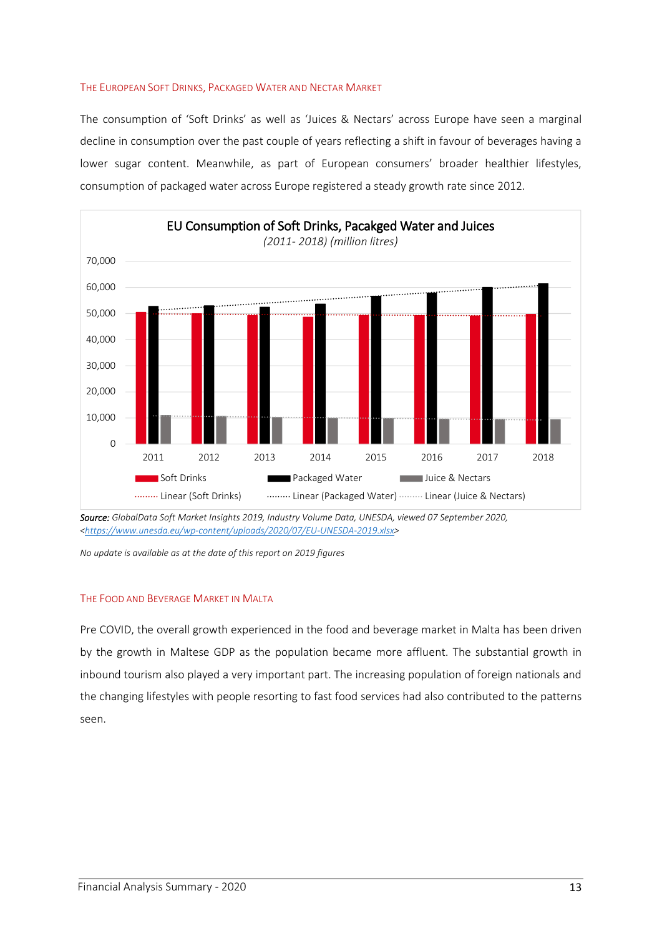#### THE EUROPEAN SOFT DRINKS, PACKAGED WATER AND NECTAR MARKET

The consumption of 'Soft Drinks' as well as 'Juices & Nectars' across Europe have seen a marginal decline in consumption over the past couple of years reflecting a shift in favour of beverages having a lower sugar content. Meanwhile, as part of European consumers' broader healthier lifestyles, consumption of packaged water across Europe registered a steady growth rate since 2012.



*Source: GlobalData Soft Market Insights 2019, Industry Volume Data, UNESDA, viewed 07 September 2020, [<https://www.unesda.eu/wp-content/uploads/2020/07/EU-UNESDA-2019.xlsx>](https://www.unesda.eu/wp-content/uploads/2020/07/EU-UNESDA-2019.xlsx)* 

#### THE FOOD AND BEVERAGE MARKET IN MALTA

Pre COVID, the overall growth experienced in the food and beverage market in Malta has been driven by the growth in Maltese GDP as the population became more affluent. The substantial growth in inbound tourism also played a very important part. The increasing population of foreign nationals and the changing lifestyles with people resorting to fast food services had also contributed to the patterns seen.

*No update is available as at the date of this report on 2019 figures*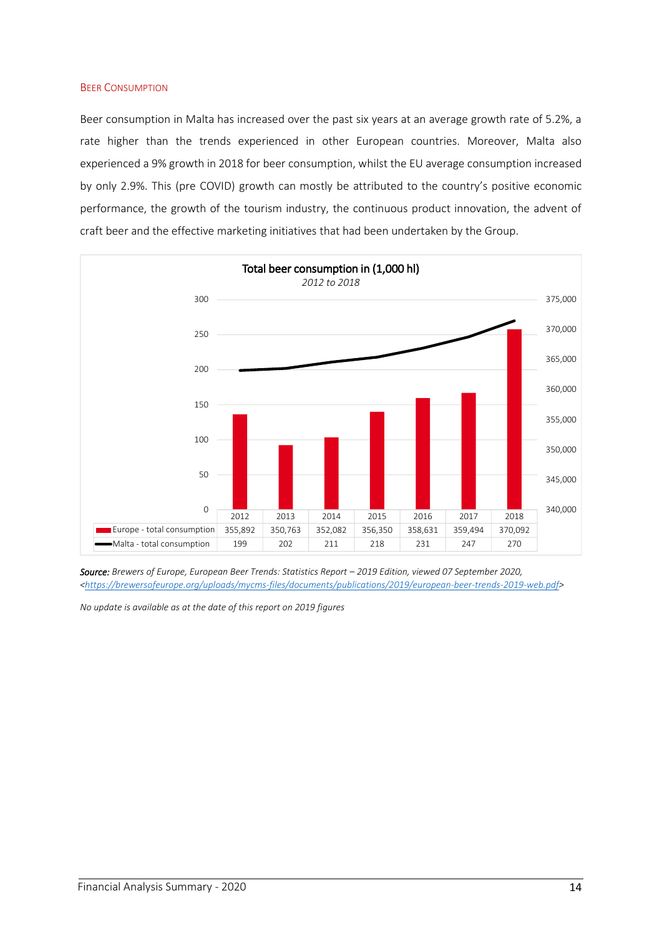#### **BEER CONSUMPTION**

Beer consumption in Malta has increased over the past six years at an average growth rate of 5.2%, a rate higher than the trends experienced in other European countries. Moreover, Malta also experienced a 9% growth in 2018 for beer consumption, whilst the EU average consumption increased by only 2.9%. This (pre COVID) growth can mostly be attributed to the country's positive economic performance, the growth of the tourism industry, the continuous product innovation, the advent of craft beer and the effective marketing initiatives that had been undertaken by the Group.



*Source: Brewers of Europe, European Beer Trends: Statistics Report – 2019 Edition, viewed 07 September 2020, [<https://brewersofeurope.org/uploads/mycms-files/documents/publications/2019/european-beer-trends-2019-web.pdf>](https://brewersofeurope.org/uploads/mycms-files/documents/publications/2019/european-beer-trends-2019-web.pdf)* 

*No update is available as at the date of this report on 2019 figures*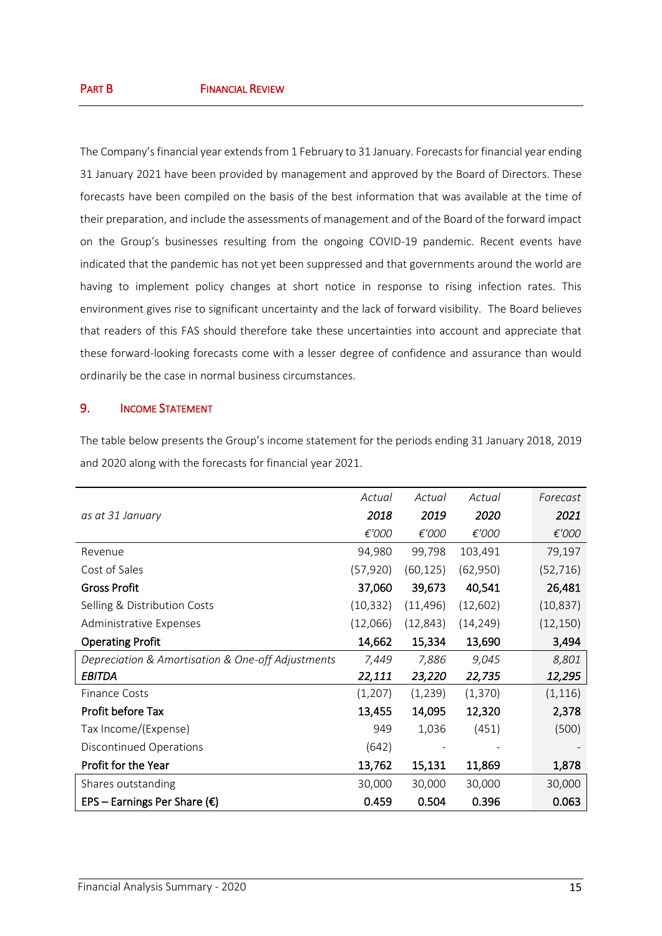The Company's financial year extends from 1 February to 31 January. Forecasts for financial year ending 31 January 2021 have been provided by management and approved by the Board of Directors. These forecasts have been compiled on the basis of the best information that was available at the time of their preparation, and include the assessments of management and of the Board of the forward impact on the Group's businesses resulting from the ongoing COVID-19 pandemic. Recent events have indicated that the pandemic has not yet been suppressed and that governments around the world are having to implement policy changes at short notice in response to rising infection rates. This environment gives rise to significant uncertainty and the lack of forward visibility. The Board believes that readers of this FAS should therefore take these uncertainties into account and appreciate that these forward-looking forecasts come with a lesser degree of confidence and assurance than would ordinarily be the case in normal business circumstances.

## 9. INCOME STATEMENT

The table below presents the Group's income statement for the periods ending 31 January 2018, 2019 and 2020 along with the forecasts for financial year 2021.

|                                                   | Actual    | Actual    | Actual    | Forecast  |
|---------------------------------------------------|-----------|-----------|-----------|-----------|
| as at 31 January                                  | 2018      | 2019      | 2020      | 2021      |
|                                                   | €'000     | €'000     | €'000     | €'000     |
| Revenue                                           | 94,980    | 99,798    | 103,491   | 79,197    |
| Cost of Sales                                     | (57, 920) | (60, 125) | (62,950)  | (52, 716) |
| <b>Gross Profit</b>                               | 37,060    | 39,673    | 40,541    | 26,481    |
| Selling & Distribution Costs                      | (10, 332) | (11, 496) | (12,602)  | (10, 837) |
| Administrative Expenses                           | (12,066)  | (12, 843) | (14, 249) | (12, 150) |
| <b>Operating Profit</b>                           | 14,662    | 15,334    | 13,690    | 3,494     |
| Depreciation & Amortisation & One-off Adjustments | 7,449     | 7,886     | 9,045     | 8,801     |
| <b>EBITDA</b>                                     | 22,111    | 23,220    | 22,735    | 12,295    |
| <b>Finance Costs</b>                              | (1, 207)  | (1,239)   | (1, 370)  | (1, 116)  |
| Profit before Tax                                 | 13,455    | 14,095    | 12,320    | 2,378     |
| Tax Income/(Expense)                              | 949       | 1,036     | (451)     | (500)     |
| Discontinued Operations                           | (642)     |           |           |           |
| Profit for the Year                               | 13,762    | 15,131    | 11,869    | 1,878     |
| Shares outstanding                                | 30,000    | 30,000    | 30,000    | 30,000    |
| EPS – Earnings Per Share ( $\epsilon$ )           | 0.459     | 0.504     | 0.396     | 0.063     |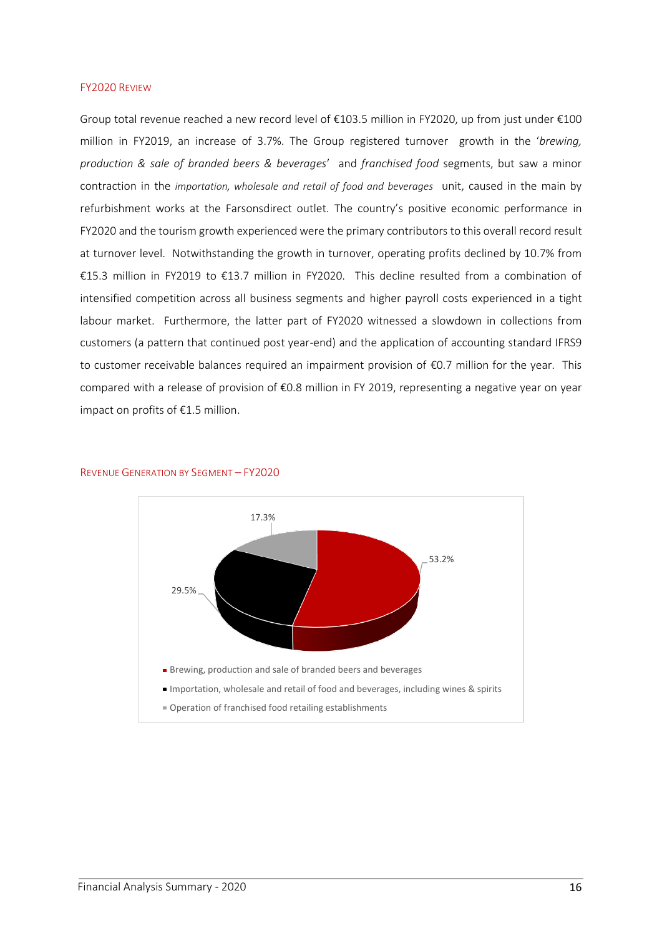#### FY2020 REVIEW

Group total revenue reached a new record level of €103.5 million in FY2020, up from just under €100 million in FY2019, an increase of 3.7%. The Group registered turnover growth in the '*brewing, production & sale of branded beers & beverages*' and *franchised food* segments, but saw a minor contraction in the *importation, wholesale and retail of food and beverages* unit, caused in the main by refurbishment works at the Farsonsdirect outlet. The country's positive economic performance in FY2020 and the tourism growth experienced were the primary contributors to this overall record result at turnover level. Notwithstanding the growth in turnover, operating profits declined by 10.7% from €15.3 million in FY2019 to €13.7 million in FY2020. This decline resulted from a combination of intensified competition across all business segments and higher payroll costs experienced in a tight labour market. Furthermore, the latter part of FY2020 witnessed a slowdown in collections from customers (a pattern that continued post year-end) and the application of accounting standard IFRS9 to customer receivable balances required an impairment provision of €0.7 million for the year. This compared with a release of provision of €0.8 million in FY 2019, representing a negative year on year impact on profits of €1.5 million.



REVENUE GENERATION BY SEGMENT – FY2020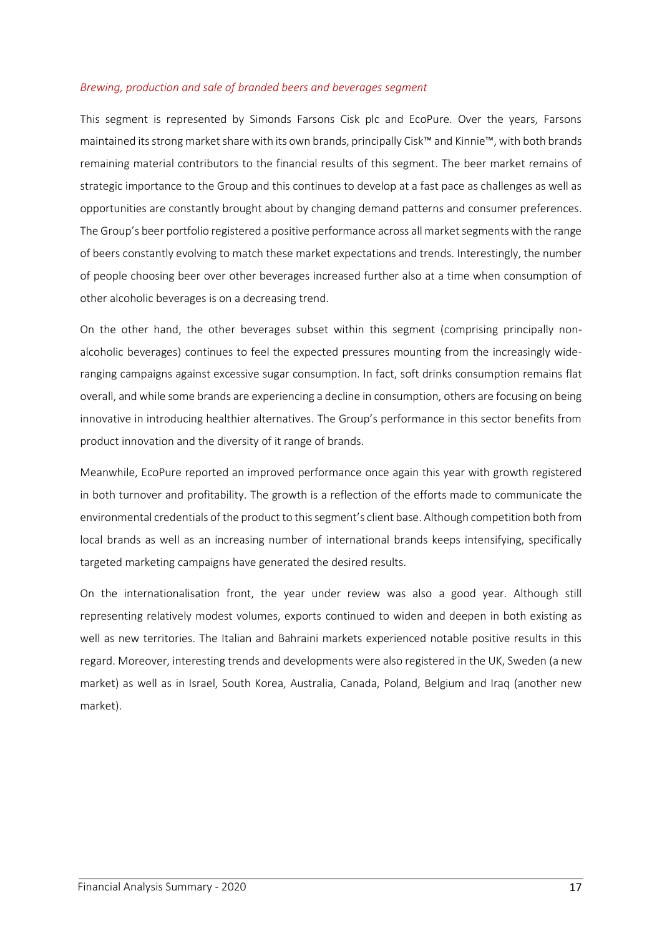#### *Brewing, production and sale of branded beers and beverages segment*

This segment is represented by Simonds Farsons Cisk plc and EcoPure. Over the years, Farsons maintained its strong market share with its own brands, principally Cisk™ and Kinnie™, with both brands remaining material contributors to the financial results of this segment. The beer market remains of strategic importance to the Group and this continues to develop at a fast pace as challenges as well as opportunities are constantly brought about by changing demand patterns and consumer preferences. The Group's beer portfolio registered a positive performance across all market segments with the range of beers constantly evolving to match these market expectations and trends. Interestingly, the number of people choosing beer over other beverages increased further also at a time when consumption of other alcoholic beverages is on a decreasing trend.

On the other hand, the other beverages subset within this segment (comprising principally nonalcoholic beverages) continues to feel the expected pressures mounting from the increasingly wideranging campaigns against excessive sugar consumption. In fact, soft drinks consumption remains flat overall, and while some brands are experiencing a decline in consumption, others are focusing on being innovative in introducing healthier alternatives. The Group's performance in this sector benefits from product innovation and the diversity of it range of brands.

Meanwhile, EcoPure reported an improved performance once again this year with growth registered in both turnover and profitability. The growth is a reflection of the efforts made to communicate the environmental credentials of the product to this segment's client base. Although competition both from local brands as well as an increasing number of international brands keeps intensifying, specifically targeted marketing campaigns have generated the desired results.

On the internationalisation front, the year under review was also a good year. Although still representing relatively modest volumes, exports continued to widen and deepen in both existing as well as new territories. The Italian and Bahraini markets experienced notable positive results in this regard. Moreover, interesting trends and developments were also registered in the UK, Sweden (a new market) as well as in Israel, South Korea, Australia, Canada, Poland, Belgium and Iraq (another new market).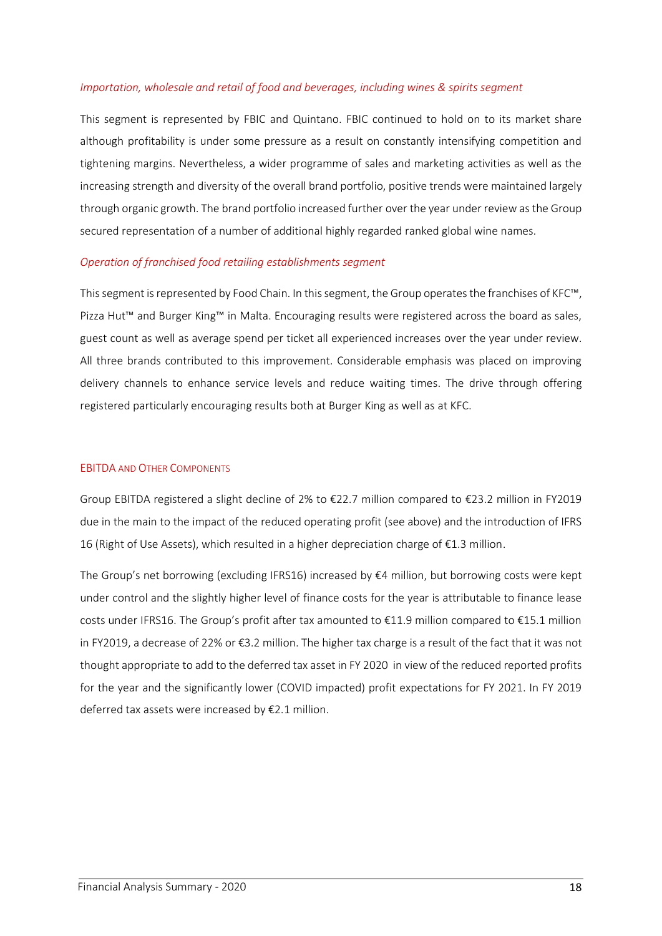#### *Importation, wholesale and retail of food and beverages, including wines & spirits segment*

This segment is represented by FBIC and Quintano. FBIC continued to hold on to its market share although profitability is under some pressure as a result on constantly intensifying competition and tightening margins. Nevertheless, a wider programme of sales and marketing activities as well as the increasing strength and diversity of the overall brand portfolio, positive trends were maintained largely through organic growth. The brand portfolio increased further over the year under review as the Group secured representation of a number of additional highly regarded ranked global wine names.

#### *Operation of franchised food retailing establishments segment*

This segment is represented by Food Chain. In this segment, the Group operates the franchises of KFC™, Pizza Hut™ and Burger King™ in Malta. Encouraging results were registered across the board as sales, guest count as well as average spend per ticket all experienced increases over the year under review. All three brands contributed to this improvement. Considerable emphasis was placed on improving delivery channels to enhance service levels and reduce waiting times. The drive through offering registered particularly encouraging results both at Burger King as well as at KFC.

#### EBITDA AND OTHER COMPONENTS

Group EBITDA registered a slight decline of 2% to €22.7 million compared to €23.2 million in FY2019 due in the main to the impact of the reduced operating profit (see above) and the introduction of IFRS 16 (Right of Use Assets), which resulted in a higher depreciation charge of €1.3 million.

The Group's net borrowing (excluding IFRS16) increased by €4 million, but borrowing costs were kept under control and the slightly higher level of finance costs for the year is attributable to finance lease costs under IFRS16. The Group's profit after tax amounted to €11.9 million compared to €15.1 million in FY2019, a decrease of 22% or €3.2 million. The higher tax charge is a result of the fact that it was not thought appropriate to add to the deferred tax asset in FY 2020 in view of the reduced reported profits for the year and the significantly lower (COVID impacted) profit expectations for FY 2021. In FY 2019 deferred tax assets were increased by €2.1 million.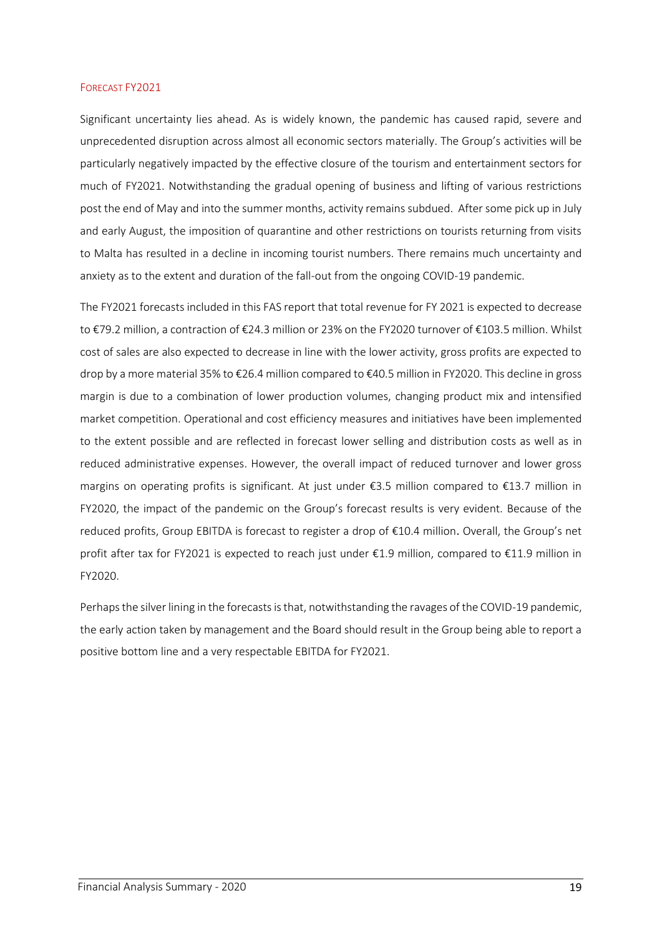#### FORECAST FY2021

Significant uncertainty lies ahead. As is widely known, the pandemic has caused rapid, severe and unprecedented disruption across almost all economic sectors materially. The Group's activities will be particularly negatively impacted by the effective closure of the tourism and entertainment sectors for much of FY2021. Notwithstanding the gradual opening of business and lifting of various restrictions post the end of May and into the summer months, activity remains subdued. After some pick up in July and early August, the imposition of quarantine and other restrictions on tourists returning from visits to Malta has resulted in a decline in incoming tourist numbers. There remains much uncertainty and anxiety as to the extent and duration of the fall-out from the ongoing COVID-19 pandemic.

The FY2021 forecasts included in this FAS report that total revenue for FY 2021 is expected to decrease to €79.2 million, a contraction of €24.3 million or 23% on the FY2020 turnover of €103.5 million. Whilst cost of sales are also expected to decrease in line with the lower activity, gross profits are expected to drop by a more material 35% to €26.4 million compared to €40.5 million in FY2020. This decline in gross margin is due to a combination of lower production volumes, changing product mix and intensified market competition. Operational and cost efficiency measures and initiatives have been implemented to the extent possible and are reflected in forecast lower selling and distribution costs as well as in reduced administrative expenses. However, the overall impact of reduced turnover and lower gross margins on operating profits is significant. At just under €3.5 million compared to €13.7 million in FY2020, the impact of the pandemic on the Group's forecast results is very evident. Because of the reduced profits, Group EBITDA is forecast to register a drop of €10.4 million. Overall, the Group's net profit after tax for FY2021 is expected to reach just under €1.9 million, compared to €11.9 million in FY2020.

Perhaps the silver lining in the forecasts is that, notwithstanding the ravages of the COVID-19 pandemic, the early action taken by management and the Board should result in the Group being able to report a positive bottom line and a very respectable EBITDA for FY2021.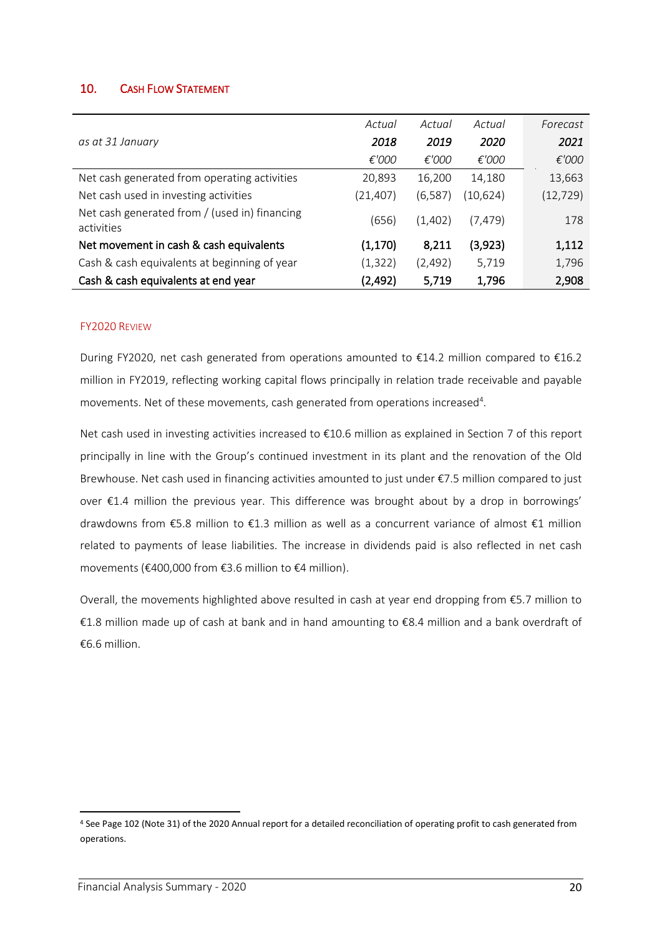## 10. CASH FLOW STATEMENT

|                                                             | Actual    | Actual   | Actual   | Forecast  |
|-------------------------------------------------------------|-----------|----------|----------|-----------|
| as at 31 January                                            | 2018      | 2019     | 2020     | 2021      |
|                                                             | €'000     | €'000    | €'000    | €'000     |
| Net cash generated from operating activities                | 20,893    | 16,200   | 14,180   | 13,663    |
| Net cash used in investing activities                       | (21, 407) | (6, 587) | (10,624) | (12, 729) |
| Net cash generated from / (used in) financing<br>activities | (656)     | (1,402)  | (7,479)  | 178       |
| Net movement in cash & cash equivalents                     | (1, 170)  | 8,211    | (3,923)  | 1,112     |
| Cash & cash equivalents at beginning of year                | (1, 322)  | (2, 492) | 5,719    | 1,796     |
| Cash & cash equivalents at end year                         | (2, 492)  | 5,719    | 1,796    | 2,908     |

#### FY2020 REVIEW

During FY2020, net cash generated from operations amounted to €14.2 million compared to €16.2 million in FY2019, reflecting working capital flows principally in relation trade receivable and payable movements. Net of these movements, cash generated from operations increased<sup>4</sup>.

Net cash used in investing activities increased to €10.6 million as explained in Section 7 of this report principally in line with the Group's continued investment in its plant and the renovation of the Old Brewhouse. Net cash used in financing activities amounted to just under €7.5 million compared to just over €1.4 million the previous year. This difference was brought about by a drop in borrowings' drawdowns from €5.8 million to €1.3 million as well as a concurrent variance of almost €1 million related to payments of lease liabilities. The increase in dividends paid is also reflected in net cash movements (€400,000 from €3.6 million to €4 million).

Overall, the movements highlighted above resulted in cash at year end dropping from €5.7 million to €1.8 million made up of cash at bank and in hand amounting to €8.4 million and a bank overdraft of €6.6 million.

<sup>4</sup> See Page 102 (Note 31) of the 2020 Annual report for a detailed reconciliation of operating profit to cash generated from operations.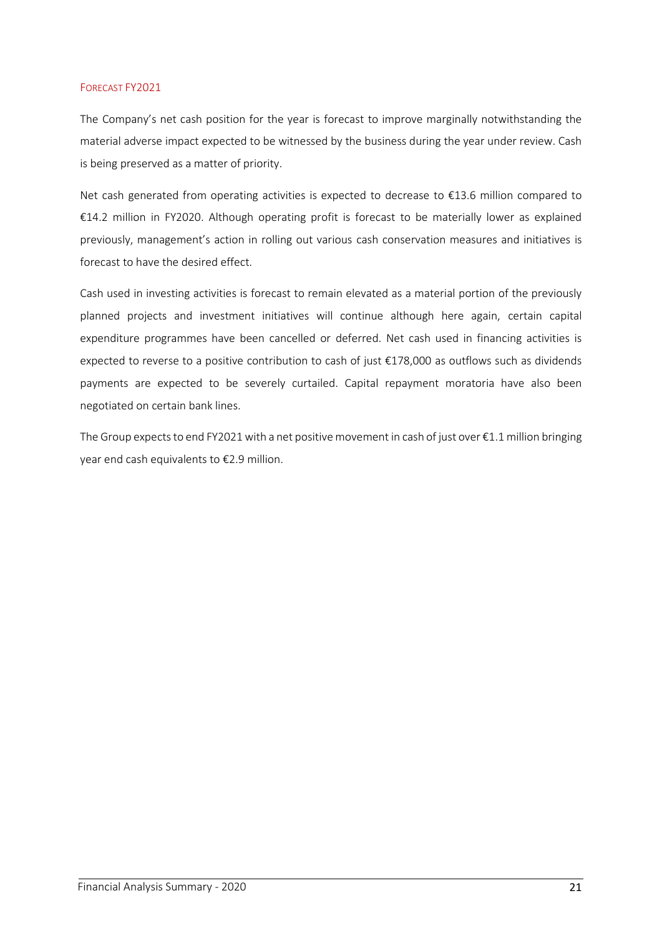#### FORECAST FY2021

The Company's net cash position for the year is forecast to improve marginally notwithstanding the material adverse impact expected to be witnessed by the business during the year under review. Cash is being preserved as a matter of priority.

Net cash generated from operating activities is expected to decrease to €13.6 million compared to €14.2 million in FY2020. Although operating profit is forecast to be materially lower as explained previously, management's action in rolling out various cash conservation measures and initiatives is forecast to have the desired effect.

Cash used in investing activities is forecast to remain elevated as a material portion of the previously planned projects and investment initiatives will continue although here again, certain capital expenditure programmes have been cancelled or deferred. Net cash used in financing activities is expected to reverse to a positive contribution to cash of just  $\epsilon$ 178,000 as outflows such as dividends payments are expected to be severely curtailed. Capital repayment moratoria have also been negotiated on certain bank lines.

The Group expects to end FY2021 with a net positive movement in cash of just over €1.1 million bringing year end cash equivalents to €2.9 million.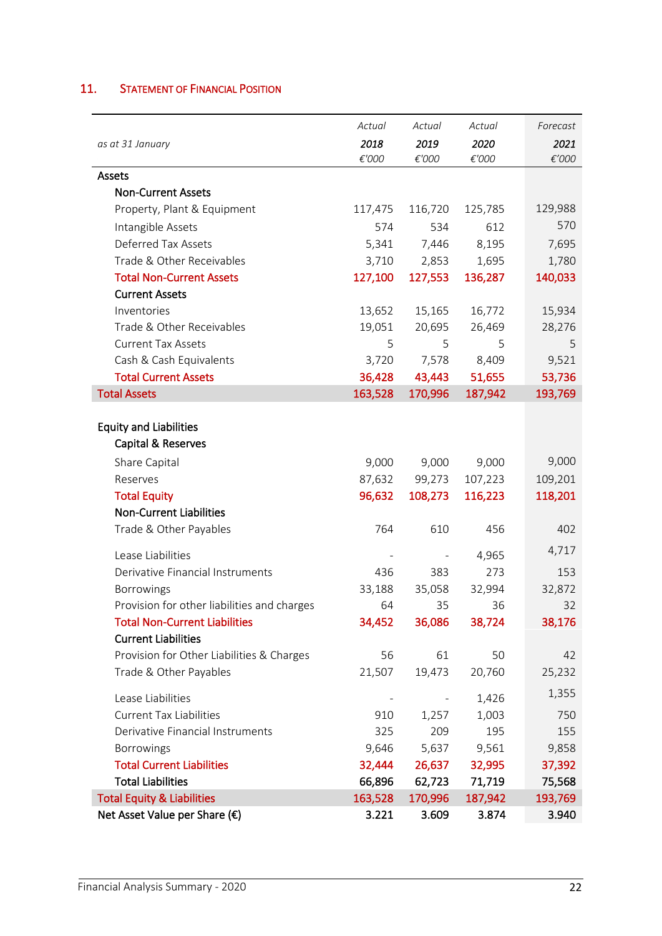# 11. STATEMENT OF FINANCIAL POSITION

|                                             | Actual  | Actual  | Actual  | Forecast        |
|---------------------------------------------|---------|---------|---------|-----------------|
| as at 31 January                            | 2018    | 2019    | 2020    | 2021            |
|                                             | €'000   | €'000   | €'000   | $\epsilon'$ 000 |
| Assets                                      |         |         |         |                 |
| <b>Non-Current Assets</b>                   |         |         |         |                 |
| Property, Plant & Equipment                 | 117,475 | 116,720 | 125,785 | 129,988         |
| Intangible Assets                           | 574     | 534     | 612     | 570             |
| Deferred Tax Assets                         | 5,341   | 7,446   | 8,195   | 7,695           |
| Trade & Other Receivables                   | 3,710   | 2,853   | 1,695   | 1,780           |
| <b>Total Non-Current Assets</b>             | 127,100 | 127,553 | 136,287 | 140,033         |
| <b>Current Assets</b>                       |         |         |         |                 |
| Inventories                                 | 13,652  | 15,165  | 16,772  | 15,934          |
| Trade & Other Receivables                   | 19,051  | 20,695  | 26,469  | 28,276          |
| <b>Current Tax Assets</b>                   | 5       | 5       | 5       | 5               |
| Cash & Cash Equivalents                     | 3,720   | 7,578   | 8,409   | 9,521           |
| <b>Total Current Assets</b>                 | 36,428  | 43,443  | 51,655  | 53,736          |
| <b>Total Assets</b>                         | 163,528 | 170,996 | 187,942 | 193,769         |
|                                             |         |         |         |                 |
| <b>Equity and Liabilities</b>               |         |         |         |                 |
| Capital & Reserves                          |         |         |         |                 |
| Share Capital                               | 9,000   | 9,000   | 9,000   | 9,000           |
| Reserves                                    | 87,632  | 99,273  | 107,223 | 109,201         |
| <b>Total Equity</b>                         | 96,632  | 108,273 | 116,223 | 118,201         |
| <b>Non-Current Liabilities</b>              |         |         |         |                 |
| Trade & Other Payables                      | 764     | 610     | 456     | 402             |
| Lease Liabilities                           |         |         | 4,965   | 4,717           |
| Derivative Financial Instruments            | 436     | 383     | 273     | 153             |
| Borrowings                                  | 33,188  | 35,058  | 32,994  | 32,872          |
| Provision for other liabilities and charges | 64      | 35      | 36      | 32              |
| <b>Total Non-Current Liabilities</b>        | 34,452  | 36,086  | 38,724  | 38,176          |
| <b>Current Liabilities</b>                  |         |         |         |                 |
| Provision for Other Liabilities & Charges   | 56      | 61      | 50      | 42              |
| Trade & Other Payables                      | 21,507  | 19,473  | 20,760  | 25,232          |
| Lease Liabilities                           |         |         | 1,426   | 1,355           |
| <b>Current Tax Liabilities</b>              | 910     | 1,257   | 1,003   | 750             |
| Derivative Financial Instruments            | 325     | 209     | 195     | 155             |
| Borrowings                                  | 9,646   | 5,637   | 9,561   | 9,858           |
| <b>Total Current Liabilities</b>            | 32,444  | 26,637  | 32,995  | 37,392          |
| <b>Total Liabilities</b>                    | 66,896  | 62,723  | 71,719  | 75,568          |
| <b>Total Equity &amp; Liabilities</b>       | 163,528 | 170,996 | 187,942 | 193,769         |
| Net Asset Value per Share (€)               | 3.221   | 3.609   | 3.874   | 3.940           |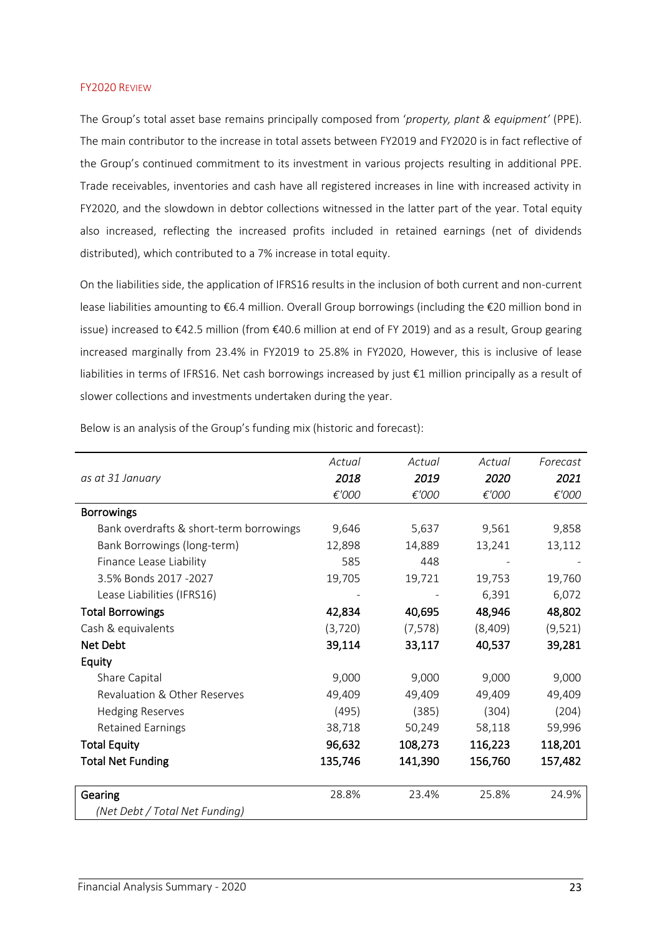#### FY2020 REVIEW

The Group's total asset base remains principally composed from '*property, plant & equipment'* (PPE). The main contributor to the increase in total assets between FY2019 and FY2020 is in fact reflective of the Group's continued commitment to its investment in various projects resulting in additional PPE. Trade receivables, inventories and cash have all registered increases in line with increased activity in FY2020, and the slowdown in debtor collections witnessed in the latter part of the year. Total equity also increased, reflecting the increased profits included in retained earnings (net of dividends distributed), which contributed to a 7% increase in total equity.

On the liabilities side, the application of IFRS16 results in the inclusion of both current and non-current lease liabilities amounting to €6.4 million. Overall Group borrowings (including the €20 million bond in issue) increased to €42.5 million (from €40.6 million at end of FY 2019) and as a result, Group gearing increased marginally from 23.4% in FY2019 to 25.8% in FY2020, However, this is inclusive of lease liabilities in terms of IFRS16. Net cash borrowings increased by just €1 million principally as a result of slower collections and investments undertaken during the year.

|                                         | Actual  | Actual   | Actual  | Forecast |
|-----------------------------------------|---------|----------|---------|----------|
| as at 31 January                        | 2018    | 2019     | 2020    | 2021     |
|                                         | €'000   | €'000    | €'000   | €'000    |
| <b>Borrowings</b>                       |         |          |         |          |
| Bank overdrafts & short-term borrowings | 9,646   | 5,637    | 9,561   | 9,858    |
| Bank Borrowings (long-term)             | 12,898  | 14,889   | 13,241  | 13,112   |
| Finance Lease Liability                 | 585     | 448      |         |          |
| 3.5% Bonds 2017 -2027                   | 19,705  | 19,721   | 19,753  | 19,760   |
| Lease Liabilities (IFRS16)              |         |          | 6,391   | 6,072    |
| <b>Total Borrowings</b>                 | 42,834  | 40,695   | 48,946  | 48,802   |
| Cash & equivalents                      | (3,720) | (7, 578) | (8,409) | (9,521)  |
| Net Debt                                | 39,114  | 33,117   | 40,537  | 39,281   |
| Equity                                  |         |          |         |          |
| Share Capital                           | 9,000   | 9,000    | 9,000   | 9,000    |
| Revaluation & Other Reserves            | 49,409  | 49,409   | 49,409  | 49,409   |
| <b>Hedging Reserves</b>                 | (495)   | (385)    | (304)   | (204)    |
| <b>Retained Earnings</b>                | 38,718  | 50,249   | 58,118  | 59,996   |
| <b>Total Equity</b>                     | 96,632  | 108,273  | 116,223 | 118,201  |
| <b>Total Net Funding</b>                | 135,746 | 141,390  | 156,760 | 157,482  |
|                                         |         |          |         |          |
| Gearing                                 | 28.8%   | 23.4%    | 25.8%   | 24.9%    |
| (Net Debt / Total Net Funding)          |         |          |         |          |

Below is an analysis of the Group's funding mix (historic and forecast):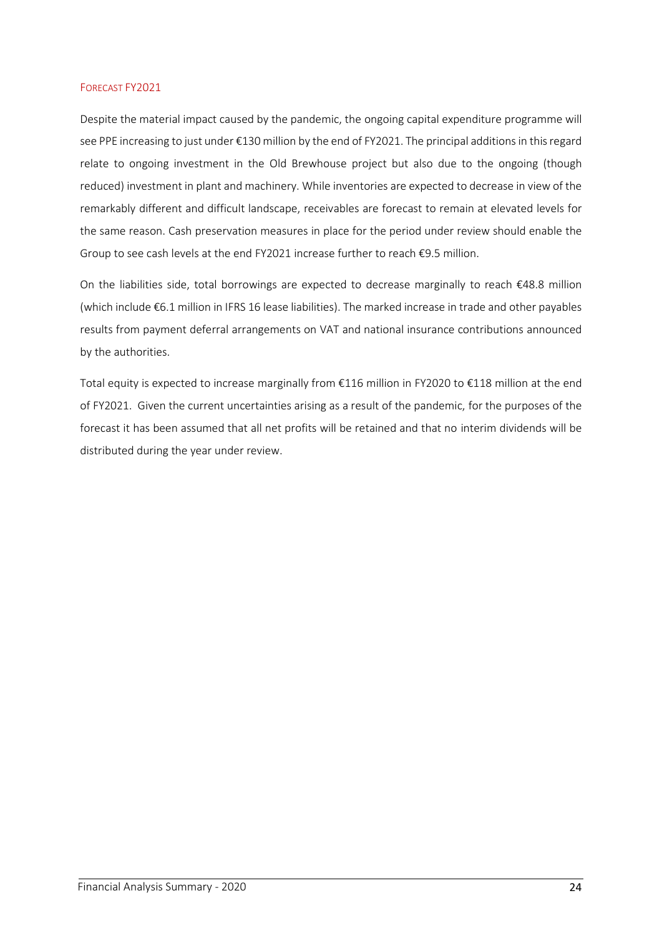#### FORECAST FY2021

Despite the material impact caused by the pandemic, the ongoing capital expenditure programme will see PPE increasing to just under €130 million by the end of FY2021. The principal additions in this regard relate to ongoing investment in the Old Brewhouse project but also due to the ongoing (though reduced) investment in plant and machinery. While inventories are expected to decrease in view of the remarkably different and difficult landscape, receivables are forecast to remain at elevated levels for the same reason. Cash preservation measures in place for the period under review should enable the Group to see cash levels at the end FY2021 increase further to reach €9.5 million.

On the liabilities side, total borrowings are expected to decrease marginally to reach €48.8 million (which include €6.1 million in IFRS 16 lease liabilities). The marked increase in trade and other payables results from payment deferral arrangements on VAT and national insurance contributions announced by the authorities.

Total equity is expected to increase marginally from €116 million in FY2020 to €118 million at the end of FY2021. Given the current uncertainties arising as a result of the pandemic, for the purposes of the forecast it has been assumed that all net profits will be retained and that no interim dividends will be distributed during the year under review.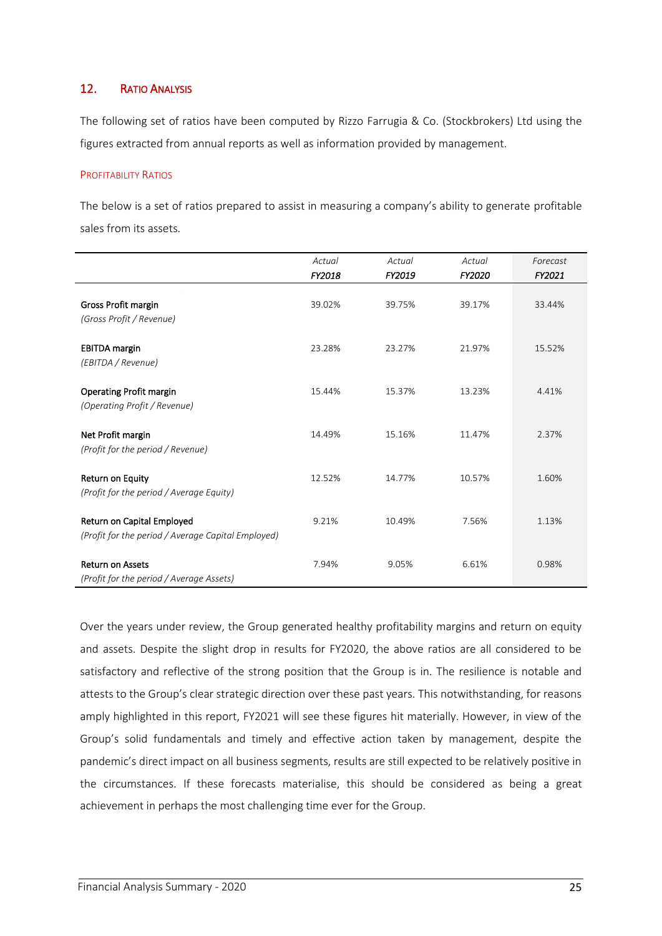## 12. RATIO ANALYSIS

The following set of ratios have been computed by Rizzo Farrugia & Co. (Stockbrokers) Ltd using the figures extracted from annual reports as well as information provided by management.

#### PROFITABILITY RATIOS

The below is a set of ratios prepared to assist in measuring a company's ability to generate profitable sales from its assets.

|                                                                                  | Actual | Actual | Actual | Forecast |
|----------------------------------------------------------------------------------|--------|--------|--------|----------|
|                                                                                  | FY2018 | FY2019 | FY2020 | FY2021   |
| Gross Profit margin<br>(Gross Profit / Revenue)                                  | 39.02% | 39.75% | 39.17% | 33.44%   |
| <b>EBITDA</b> margin<br>(EBITDA / Revenue)                                       | 23.28% | 23.27% | 21.97% | 15.52%   |
| <b>Operating Profit margin</b><br>(Operating Profit / Revenue)                   | 15.44% | 15.37% | 13.23% | 4.41%    |
| Net Profit margin<br>(Profit for the period / Revenue)                           | 14.49% | 15.16% | 11.47% | 2.37%    |
| Return on Equity<br>(Profit for the period / Average Equity)                     | 12.52% | 14.77% | 10.57% | 1.60%    |
| Return on Capital Employed<br>(Profit for the period / Average Capital Employed) | 9.21%  | 10.49% | 7.56%  | 1.13%    |
| <b>Return on Assets</b><br>(Profit for the period / Average Assets)              | 7.94%  | 9.05%  | 6.61%  | 0.98%    |

Over the years under review, the Group generated healthy profitability margins and return on equity and assets. Despite the slight drop in results for FY2020, the above ratios are all considered to be satisfactory and reflective of the strong position that the Group is in. The resilience is notable and attests to the Group's clear strategic direction over these past years. This notwithstanding, for reasons amply highlighted in this report, FY2021 will see these figures hit materially. However, in view of the Group's solid fundamentals and timely and effective action taken by management, despite the pandemic's direct impact on all business segments, results are still expected to be relatively positive in the circumstances. If these forecasts materialise, this should be considered as being a great achievement in perhaps the most challenging time ever for the Group.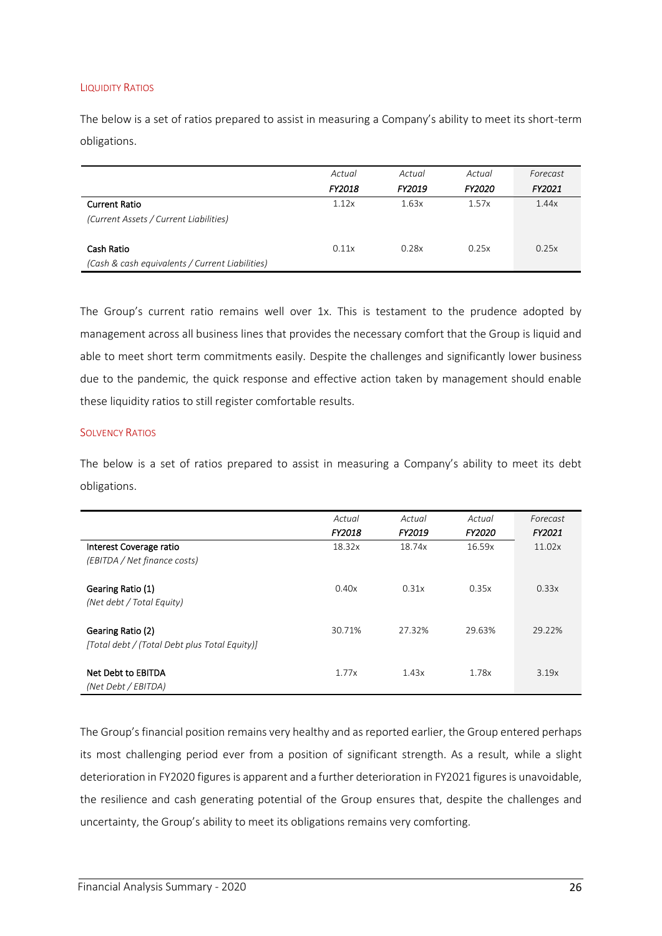#### LIQUIDITY RATIOS

The below is a set of ratios prepared to assist in measuring a Company's ability to meet its short-term obligations.

|                                                 | Actual | Actual | Actual        | Forecast |
|-------------------------------------------------|--------|--------|---------------|----------|
|                                                 | FY2018 | FY2019 | <b>FY2020</b> | FY2021   |
| <b>Current Ratio</b>                            | 1.12x  | 1.63x  | 1.57x         | 1.44x    |
| (Current Assets / Current Liabilities)          |        |        |               |          |
|                                                 |        |        |               |          |
| Cash Ratio                                      | 0.11x  | 0.28x  | 0.25x         | 0.25x    |
| (Cash & cash equivalents / Current Liabilities) |        |        |               |          |

The Group's current ratio remains well over 1x. This is testament to the prudence adopted by management across all business lines that provides the necessary comfort that the Group is liquid and able to meet short term commitments easily. Despite the challenges and significantly lower business due to the pandemic, the quick response and effective action taken by management should enable these liquidity ratios to still register comfortable results.

#### **SOLVENCY RATIOS**

The below is a set of ratios prepared to assist in measuring a Company's ability to meet its debt obligations.

|                                                                    | Actual<br>FY2018 | Actual<br>FY2019 | Actual<br><b>FY2020</b> | Forecast<br><b>FY2021</b> |
|--------------------------------------------------------------------|------------------|------------------|-------------------------|---------------------------|
| Interest Coverage ratio<br>(EBITDA / Net finance costs)            | 18.32x           | 18.74x           | 16.59x                  | 11.02x                    |
| Gearing Ratio (1)<br>(Net debt / Total Equity)                     | 0.40x            | 0.31x            | 0.35x                   | 0.33x                     |
| Gearing Ratio (2)<br>[Total debt / (Total Debt plus Total Equity)] | 30.71%           | 27.32%           | 29.63%                  | 29.22%                    |
| Net Debt to EBITDA<br>(Net Debt / EBITDA)                          | 1.77x            | 1.43x            | 1.78x                   | 3.19x                     |

The Group's financial position remains very healthy and as reported earlier, the Group entered perhaps its most challenging period ever from a position of significant strength. As a result, while a slight deterioration in FY2020 figures is apparent and a further deterioration in FY2021 figures is unavoidable, the resilience and cash generating potential of the Group ensures that, despite the challenges and uncertainty, the Group's ability to meet its obligations remains very comforting.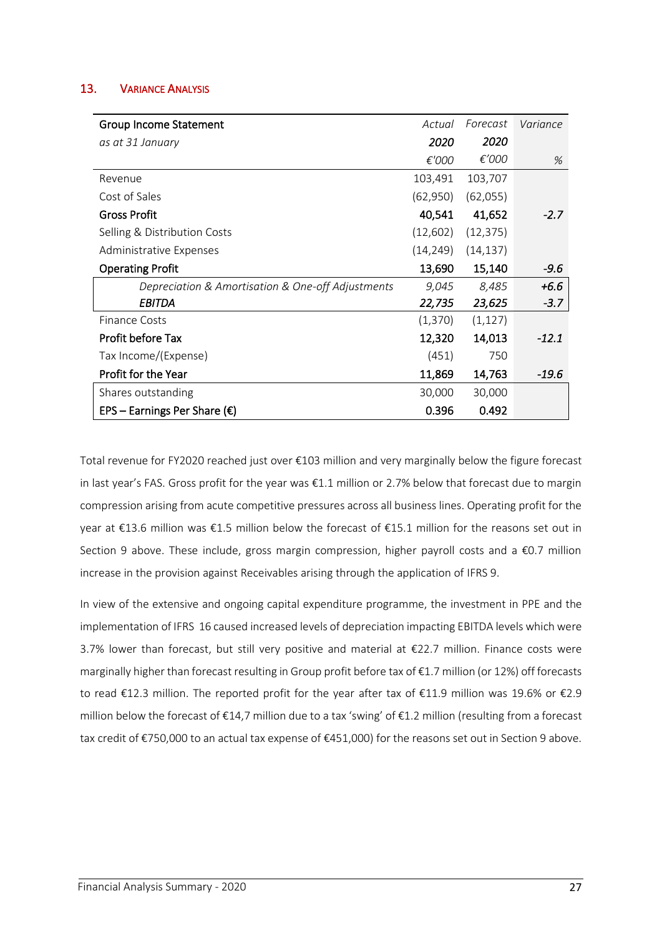## 13. VARIANCE ANALYSIS

| <b>Group Income Statement</b>                     | Actual    | Forecast  | Variance |
|---------------------------------------------------|-----------|-----------|----------|
| as at 31 January                                  | 2020      | 2020      |          |
|                                                   | €'000     | €'000     | %        |
| Revenue                                           | 103,491   | 103,707   |          |
| Cost of Sales                                     | (62,950)  | (62, 055) |          |
| <b>Gross Profit</b>                               | 40,541    | 41,652    | $-2.7$   |
| Selling & Distribution Costs                      | (12,602)  | (12, 375) |          |
| Administrative Expenses                           | (14, 249) | (14, 137) |          |
| <b>Operating Profit</b>                           | 13,690    | 15,140    | $-9.6$   |
| Depreciation & Amortisation & One-off Adjustments | 9,045     | 8,485     | $+6.6$   |
| <b>EBITDA</b>                                     | 22,735    | 23,625    | $-3.7$   |
| Finance Costs                                     | (1,370)   | (1, 127)  |          |
| Profit before Tax                                 | 12,320    | 14,013    | $-12.1$  |
| Tax Income/(Expense)                              | (451)     | 750       |          |
| Profit for the Year                               | 11,869    | 14,763    | -19.6    |
| Shares outstanding                                | 30,000    | 30,000    |          |
| EPS – Earnings Per Share ( $\epsilon$ )           | 0.396     | 0.492     |          |

Total revenue for FY2020 reached just over €103 million and very marginally below the figure forecast in last year's FAS. Gross profit for the year was €1.1 million or 2.7% below that forecast due to margin compression arising from acute competitive pressures across all business lines. Operating profit for the year at €13.6 million was €1.5 million below the forecast of €15.1 million for the reasons set out in Section 9 above. These include, gross margin compression, higher payroll costs and a €0.7 million increase in the provision against Receivables arising through the application of IFRS 9.

In view of the extensive and ongoing capital expenditure programme, the investment in PPE and the implementation of IFRS 16 caused increased levels of depreciation impacting EBITDA levels which were 3.7% lower than forecast, but still very positive and material at €22.7 million. Finance costs were marginally higher than forecast resulting in Group profit before tax of €1.7 million (or 12%) off forecasts to read €12.3 million. The reported profit for the year after tax of €11.9 million was 19.6% or €2.9 million below the forecast of €14,7 million due to a tax 'swing' of €1.2 million (resulting from a forecast tax credit of €750,000 to an actual tax expense of €451,000) for the reasons set out in Section 9 above.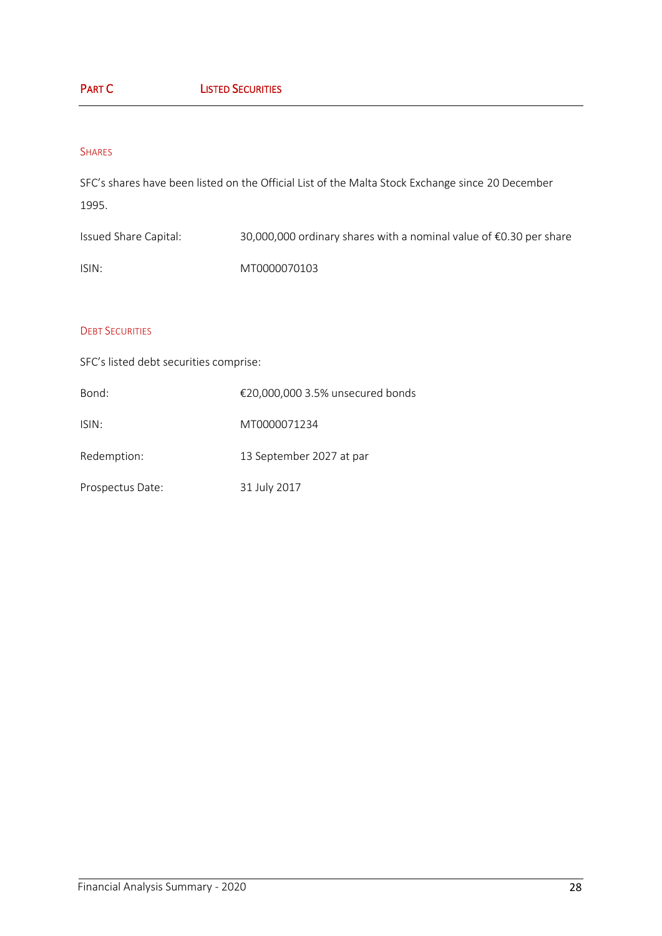# PART C **LISTED SECURITIES**

#### SHARES

SFC's shares have been listed on the Official List of the Malta Stock Exchange since 20 December 1995.

Issued Share Capital: 30,000,000 ordinary shares with a nominal value of €0.30 per share ISIN: MT0000070103

#### **DEBT SECURITIES**

SFC's listed debt securities comprise:

| Bond:            | €20,000,000 3.5% unsecured bonds |
|------------------|----------------------------------|
| ISIN:            | MT0000071234                     |
| Redemption:      | 13 September 2027 at par         |
| Prospectus Date: | 31 July 2017                     |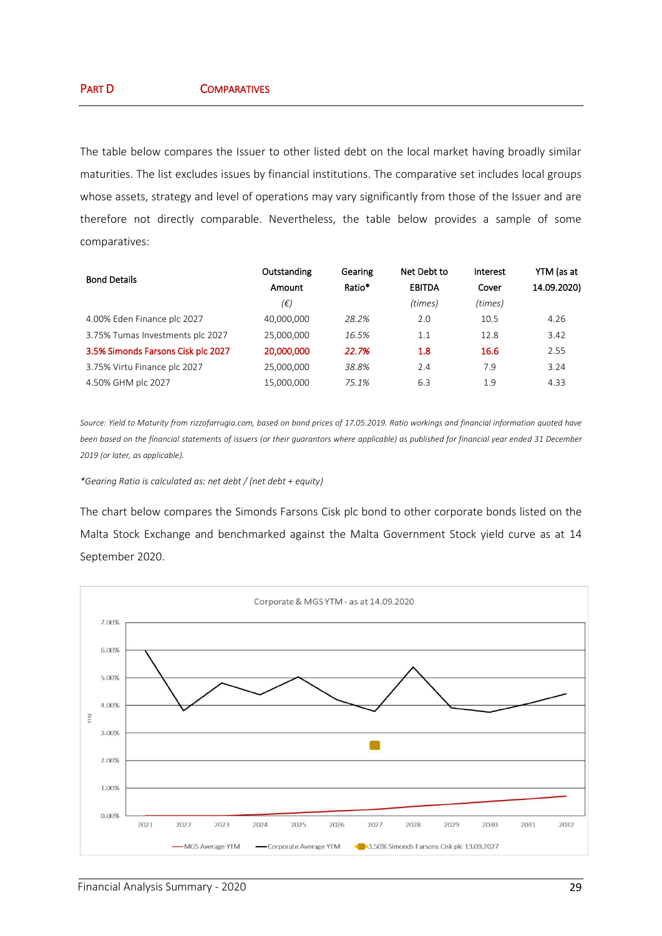The table below compares the Issuer to other listed debt on the local market having broadly similar maturities. The list excludes issues by financial institutions. The comparative set includes local groups whose assets, strategy and level of operations may vary significantly from those of the Issuer and are therefore not directly comparable. Nevertheless, the table below provides a sample of some comparatives:

| <b>Bond Details</b>                | Outstanding | Gearing | Net Debt to   | Interest | YTM (as at  |
|------------------------------------|-------------|---------|---------------|----------|-------------|
|                                    | Amount      | Ratio*  | <b>EBITDA</b> | Cover    | 14.09.2020) |
|                                    | (€)         |         | (times)       | (times)  |             |
| 4.00% Eden Finance plc 2027        | 40.000.000  | 28.2%   | 2.0           | 10.5     | 4.26        |
| 3.75% Tumas Investments plc 2027   | 25,000,000  | 16.5%   | 1.1           | 12.8     | 3.42        |
| 3.5% Simonds Farsons Cisk plc 2027 | 20,000,000  | 22.7%   | 1.8           | 16.6     | 2.55        |
| 3.75% Virtu Finance plc 2027       | 25,000,000  | 38.8%   | 2.4           | 7.9      | 3.24        |
| 4.50% GHM plc 2027                 | 15,000,000  | 75.1%   | 6.3           | 1.9      | 4.33        |

*Source: Yield to Maturity from rizzofarrugia.com, based on bond prices of 17.05.2019. Ratio workings and financial information quoted have been based on the financial statements of issuers (or their guarantors where applicable) as published for financial year ended 31 December 2019 (or later, as applicable).*

#### *\*Gearing Ratio is calculated as: net debt / (net debt + equity)*

The chart below compares the Simonds Farsons Cisk plc bond to other corporate bonds listed on the Malta Stock Exchange and benchmarked against the Malta Government Stock yield curve as at 14 September 2020.

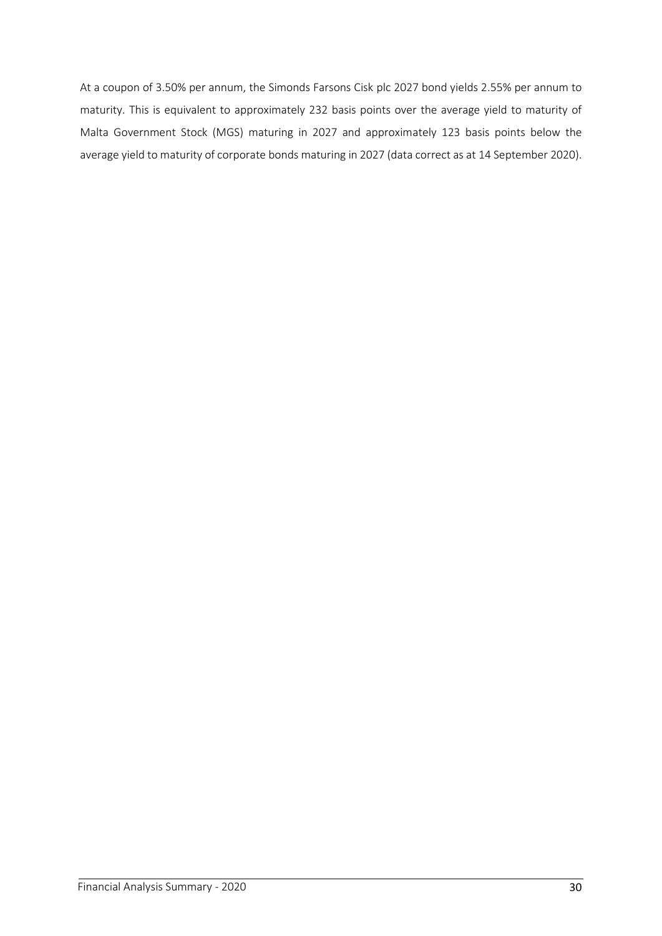At a coupon of 3.50% per annum, the Simonds Farsons Cisk plc 2027 bond yields 2.55% per annum to maturity. This is equivalent to approximately 232 basis points over the average yield to maturity of Malta Government Stock (MGS) maturing in 2027 and approximately 123 basis points below the average yield to maturity of corporate bonds maturing in 2027 (data correct as at 14 September 2020).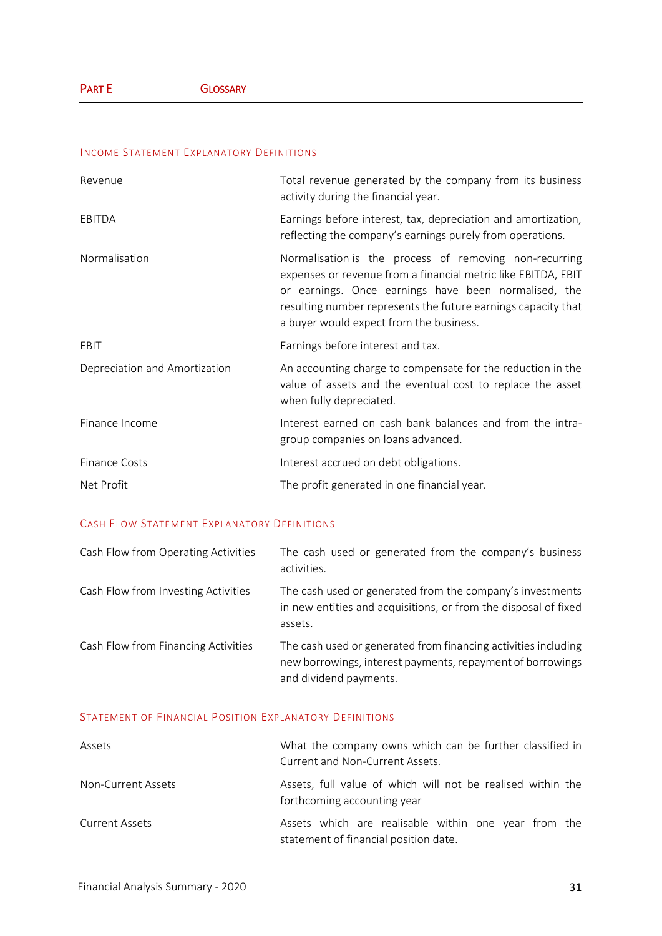## INCOME STATEMENT EXPLANATORY DEFINITIONS

| Revenue                       | Total revenue generated by the company from its business<br>activity during the financial year.                                                                                                                                                                                             |
|-------------------------------|---------------------------------------------------------------------------------------------------------------------------------------------------------------------------------------------------------------------------------------------------------------------------------------------|
| EBITDA                        | Earnings before interest, tax, depreciation and amortization,<br>reflecting the company's earnings purely from operations.                                                                                                                                                                  |
| Normalisation                 | Normalisation is the process of removing non-recurring<br>expenses or revenue from a financial metric like EBITDA, EBIT<br>or earnings. Once earnings have been normalised, the<br>resulting number represents the future earnings capacity that<br>a buyer would expect from the business. |
| EBIT                          | Earnings before interest and tax.                                                                                                                                                                                                                                                           |
| Depreciation and Amortization | An accounting charge to compensate for the reduction in the<br>value of assets and the eventual cost to replace the asset<br>when fully depreciated.                                                                                                                                        |
| Finance Income                | Interest earned on cash bank balances and from the intra-<br>group companies on loans advanced.                                                                                                                                                                                             |
| <b>Finance Costs</b>          | Interest accrued on debt obligations.                                                                                                                                                                                                                                                       |
| Net Profit                    | The profit generated in one financial year.                                                                                                                                                                                                                                                 |

#### CASH FLOW STATEMENT EXPLANATORY DEFINITIONS

| Cash Flow from Operating Activities | The cash used or generated from the company's business<br>activities.                                                                                  |
|-------------------------------------|--------------------------------------------------------------------------------------------------------------------------------------------------------|
| Cash Flow from Investing Activities | The cash used or generated from the company's investments<br>in new entities and acquisitions, or from the disposal of fixed<br>assets.                |
| Cash Flow from Financing Activities | The cash used or generated from financing activities including<br>new borrowings, interest payments, repayment of borrowings<br>and dividend payments. |

#### STATEMENT OF FINANCIAL POSITION EXPLANATORY DEFINITIONS

| Assets                | What the company owns which can be further classified in<br>Current and Non-Current Assets.   |
|-----------------------|-----------------------------------------------------------------------------------------------|
| Non-Current Assets    | Assets, full value of which will not be realised within the<br>forthcoming accounting year    |
| <b>Current Assets</b> | Assets which are realisable within one year from the<br>statement of financial position date. |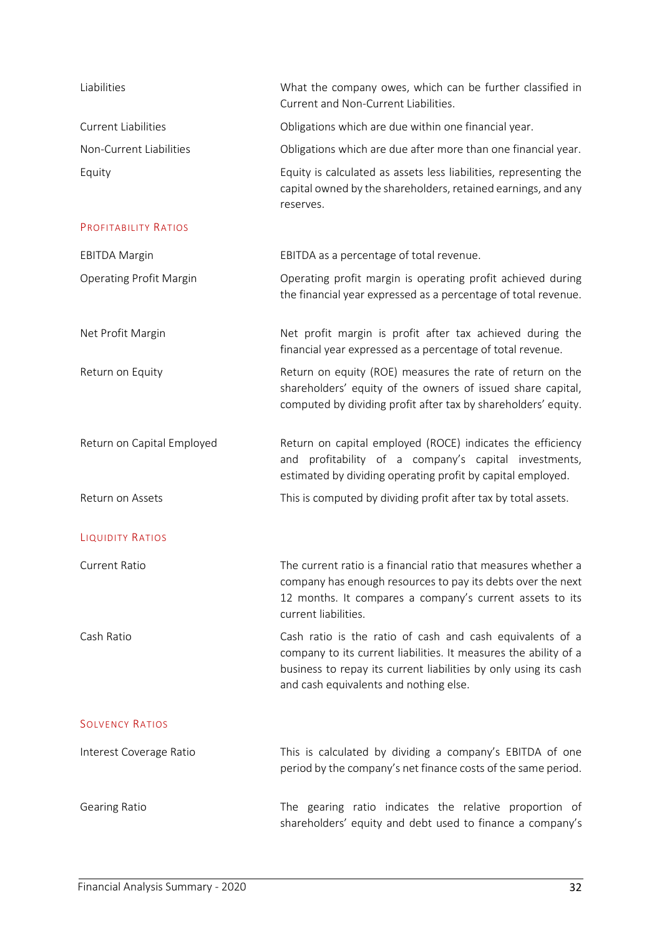| Liabilities                    | What the company owes, which can be further classified in<br>Current and Non-Current Liabilities.                                                                                                                                           |
|--------------------------------|---------------------------------------------------------------------------------------------------------------------------------------------------------------------------------------------------------------------------------------------|
| <b>Current Liabilities</b>     | Obligations which are due within one financial year.                                                                                                                                                                                        |
| Non-Current Liabilities        | Obligations which are due after more than one financial year.                                                                                                                                                                               |
| Equity                         | Equity is calculated as assets less liabilities, representing the<br>capital owned by the shareholders, retained earnings, and any<br>reserves.                                                                                             |
| PROFITABILITY RATIOS           |                                                                                                                                                                                                                                             |
| <b>EBITDA Margin</b>           | EBITDA as a percentage of total revenue.                                                                                                                                                                                                    |
| <b>Operating Profit Margin</b> | Operating profit margin is operating profit achieved during<br>the financial year expressed as a percentage of total revenue.                                                                                                               |
| Net Profit Margin              | Net profit margin is profit after tax achieved during the<br>financial year expressed as a percentage of total revenue.                                                                                                                     |
| Return on Equity               | Return on equity (ROE) measures the rate of return on the<br>shareholders' equity of the owners of issued share capital,<br>computed by dividing profit after tax by shareholders' equity.                                                  |
| Return on Capital Employed     | Return on capital employed (ROCE) indicates the efficiency<br>profitability of a company's capital investments,<br>and<br>estimated by dividing operating profit by capital employed.                                                       |
| Return on Assets               | This is computed by dividing profit after tax by total assets.                                                                                                                                                                              |
| <b>LIQUIDITY RATIOS</b>        |                                                                                                                                                                                                                                             |
| <b>Current Ratio</b>           | The current ratio is a financial ratio that measures whether a<br>company has enough resources to pay its debts over the next<br>12 months. It compares a company's current assets to its<br>current liabilities.                           |
| Cash Ratio                     | Cash ratio is the ratio of cash and cash equivalents of a<br>company to its current liabilities. It measures the ability of a<br>business to repay its current liabilities by only using its cash<br>and cash equivalents and nothing else. |
| <b>SOLVENCY RATIOS</b>         |                                                                                                                                                                                                                                             |
| Interest Coverage Ratio        | This is calculated by dividing a company's EBITDA of one<br>period by the company's net finance costs of the same period.                                                                                                                   |
| <b>Gearing Ratio</b>           | The gearing ratio indicates the relative proportion of<br>shareholders' equity and debt used to finance a company's                                                                                                                         |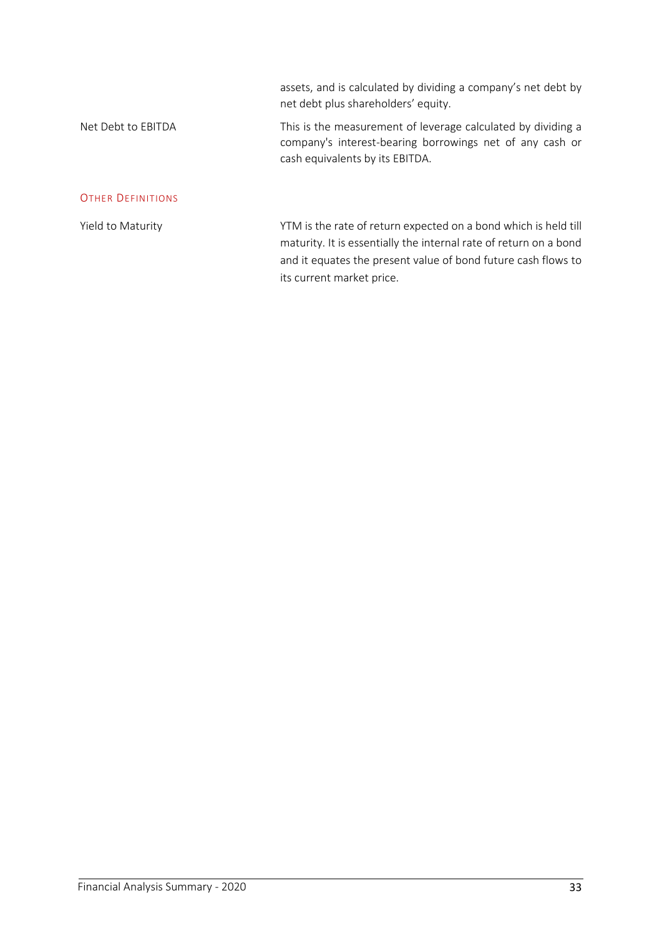assets, and is calculated by dividing a company's net debt by net debt plus shareholders' equity.

# Net Debt to EBITDA This is the measurement of leverage calculated by dividing a company's interest-bearing borrowings net of any cash or cash equivalents by its EBITDA.

#### OTHER DEFINITIONS

Yield to Maturity Yield to Maturity Yield to Maturity Yield till Street and Wield till Street and Wield till S maturity. It is essentially the internal rate of return on a bond and it equates the present value of bond future cash flows to its current market price.